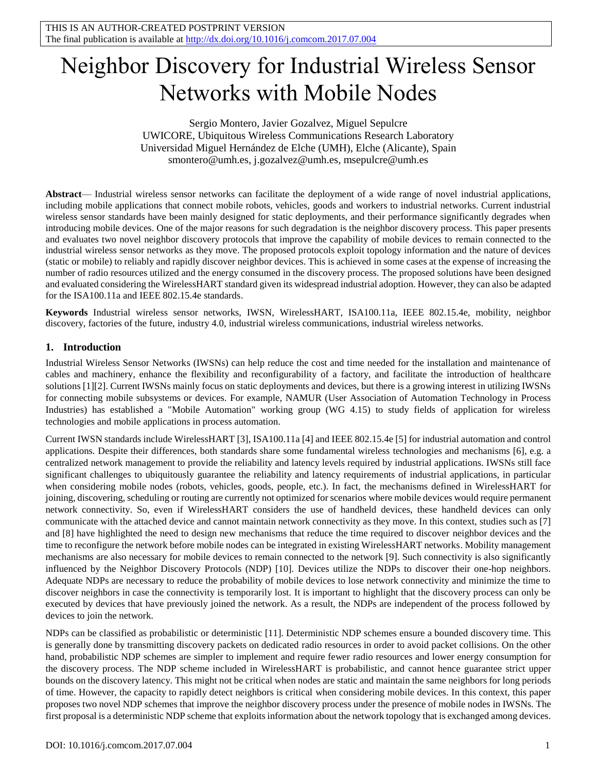# Neighbor Discovery for Industrial Wireless Sensor Networks with Mobile Nodes

Sergio Montero, Javier Gozalvez, Miguel Sepulcre UWICORE, Ubiquitous Wireless Communications Research Laboratory Universidad Miguel Hernández de Elche (UMH), Elche (Alicante), Spain smontero@umh.es, j.gozalvez@umh.es, msepulcre@umh.es

**Abstract**— Industrial wireless sensor networks can facilitate the deployment of a wide range of novel industrial applications, including mobile applications that connect mobile robots, vehicles, goods and workers to industrial networks. Current industrial wireless sensor standards have been mainly designed for static deployments, and their performance significantly degrades when introducing mobile devices. One of the major reasons for such degradation is the neighbor discovery process. This paper presents and evaluates two novel neighbor discovery protocols that improve the capability of mobile devices to remain connected to the industrial wireless sensor networks as they move. The proposed protocols exploit topology information and the nature of devices (static or mobile) to reliably and rapidly discover neighbor devices. This is achieved in some cases at the expense of increasing the number of radio resources utilized and the energy consumed in the discovery process. The proposed solutions have been designed and evaluated considering the WirelessHART standard given its widespread industrial adoption. However, they can also be adapted for the ISA100.11a and IEEE 802.15.4e standards.

**Keywords** Industrial wireless sensor networks, IWSN, WirelessHART, ISA100.11a, IEEE 802.15.4e, mobility, neighbor discovery, factories of the future, industry 4.0, industrial wireless communications, industrial wireless networks.

## **1. Introduction**

Industrial Wireless Sensor Networks (IWSNs) can help reduce the cost and time needed for the installation and maintenance of cables and machinery, enhance the flexibility and reconfigurability of a factory, and facilitate the introduction of healthcare solutions [\[1\]\[2\].](#page-18-0) Current IWSNs mainly focus on static deployments and devices, but there is a growing interest in utilizing IWSNs for connecting mobile subsystems or devices. For example, NAMUR (User Association of Automation Technology in Process Industries) has established a "Mobile Automation" working group (WG 4.15) to study fields of application for wireless technologies and mobile applications in process automation.

Current IWSN standards include WirelessHART [\[3\],](#page-18-1) ISA100.11a [\[4\]](#page-18-2) and IEEE 802.15.4[e \[5\]](#page-18-3) for industrial automation and control applications. Despite their differences, both standards share some fundamental wireless technologies and mechanisms [\[6\],](#page-18-4) e.g. a centralized network management to provide the reliability and latency levels required by industrial applications. IWSNs still face significant challenges to ubiquitously guarantee the reliability and latency requirements of industrial applications, in particular when considering mobile nodes (robots, vehicles, goods, people, etc.). In fact, the mechanisms defined in WirelessHART for joining, discovering, scheduling or routing are currently not optimized for scenarios where mobile devices would require permanent network connectivity. So, even if WirelessHART considers the use of handheld devices, these handheld devices can only communicate with the attached device and cannot maintain network connectivity as they move. In this context, studies such as [\[7\]](#page-18-5) and [\[8\]](#page-18-6) have highlighted the need to design new mechanisms that reduce the time required to discover neighbor devices and the time to reconfigure the network before mobile nodes can be integrated in existing WirelessHART networks. Mobility management mechanisms are also necessary for mobile devices to remain connected to the network [\[9\].](#page-18-7) Such connectivity is also significantly influenced by the Neighbor Discovery Protocols (NDP) [\[10\].](#page-18-8) Devices utilize the NDPs to discover their one-hop neighbors. Adequate NDPs are necessary to reduce the probability of mobile devices to lose network connectivity and minimize the time to discover neighbors in case the connectivity is temporarily lost. It is important to highlight that the discovery process can only be executed by devices that have previously joined the network. As a result, the NDPs are independent of the process followed by devices to join the network.

NDPs can be classified as probabilistic or deterministic [\[11\].](#page-18-9) Deterministic NDP schemes ensure a bounded discovery time. This is generally done by transmitting discovery packets on dedicated radio resources in order to avoid packet collisions. On the other hand, probabilistic NDP schemes are simpler to implement and require fewer radio resources and lower energy consumption for the discovery process. The NDP scheme included in WirelessHART is probabilistic, and cannot hence guarantee strict upper bounds on the discovery latency. This might not be critical when nodes are static and maintain the same neighbors for long periods of time. However, the capacity to rapidly detect neighbors is critical when considering mobile devices. In this context, this paper proposes two novel NDP schemes that improve the neighbor discovery process under the presence of mobile nodes in IWSNs. The first proposal is a deterministic NDP scheme that exploits information about the network topology that is exchanged among devices.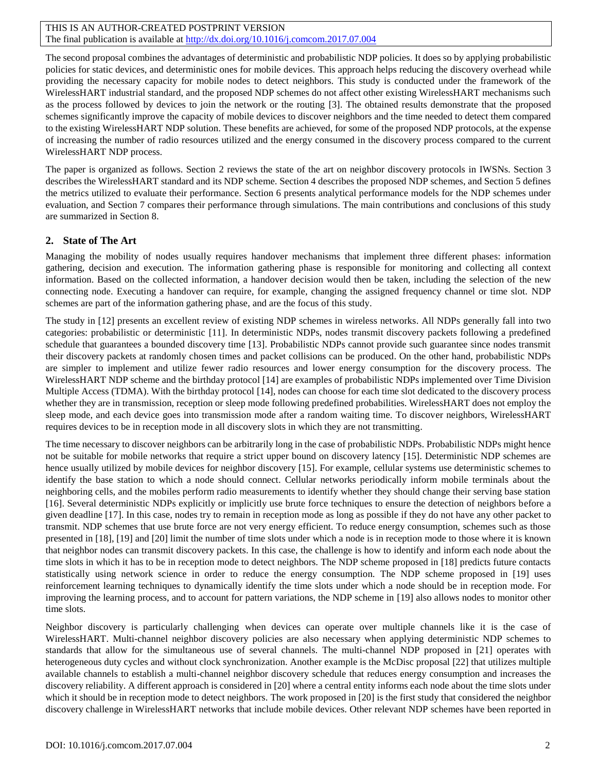The second proposal combines the advantages of deterministic and probabilistic NDP policies. It does so by applying probabilistic policies for static devices, and deterministic ones for mobile devices. This approach helps reducing the discovery overhead while providing the necessary capacity for mobile nodes to detect neighbors. This study is conducted under the framework of the WirelessHART industrial standard, and the proposed NDP schemes do not affect other existing WirelessHART mechanisms such as the process followed by devices to join the network or the routing [\[3\].](#page-18-1) The obtained results demonstrate that the proposed schemes significantly improve the capacity of mobile devices to discover neighbors and the time needed to detect them compared to the existing WirelessHART NDP solution. These benefits are achieved, for some of the proposed NDP protocols, at the expense of increasing the number of radio resources utilized and the energy consumed in the discovery process compared to the current WirelessHART NDP process.

The paper is organized as follows. Section [2](#page-1-0) reviews the state of the art on neighbor discovery protocols in IWSNs. Section [3](#page-2-0) describes the WirelessHART standard and its NDP scheme. Section [4](#page-3-0) describes the proposed NDP schemes, and Section [5](#page-4-0) defines the metrics utilized to evaluate their performance. Section [6](#page-4-1) presents analytical performance models for the NDP schemes under evaluation, and Section [7](#page-10-0) compares their performance through simulations. The main contributions and conclusions of this study are summarized in Section [8.](#page-17-0)

# <span id="page-1-0"></span>**2. State of The Art**

Managing the mobility of nodes usually requires handover mechanisms that implement three different phases: information gathering, decision and execution. The information gathering phase is responsible for monitoring and collecting all context information. Based on the collected information, a handover decision would then be taken, including the selection of the new connecting node. Executing a handover can require, for example, changing the assigned frequency channel or time slot. NDP schemes are part of the information gathering phase, and are the focus of this study.

The study in [\[12\]](#page-18-10) presents an excellent review of existing NDP schemes in wireless networks. All NDPs generally fall into two categories: probabilistic or deterministic [\[11\].](#page-18-9) In deterministic NDPs, nodes transmit discovery packets following a predefined schedule that guarantees a bounded discovery time [\[13\].](#page-18-11) Probabilistic NDPs cannot provide such guarantee since nodes transmit their discovery packets at randomly chosen times and packet collisions can be produced. On the other hand, probabilistic NDPs are simpler to implement and utilize fewer radio resources and lower energy consumption for the discovery process. The WirelessHART NDP scheme and the birthday protocol [\[14\]](#page-18-12) are examples of probabilistic NDPs implemented over Time Division Multiple Access (TDMA). With the birthday protocol [\[14\],](#page-18-12) nodes can choose for each time slot dedicated to the discovery process whether they are in transmission, reception or sleep mode following predefined probabilities. WirelessHART does not employ the sleep mode, and each device goes into transmission mode after a random waiting time. To discover neighbors, WirelessHART requires devices to be in reception mode in all discovery slots in which they are not transmitting.

The time necessary to discover neighbors can be arbitrarily long in the case of probabilistic NDPs. Probabilistic NDPs might hence not be suitable for mobile networks that require a strict upper bound on discovery latency [\[15\].](#page-18-13) Deterministic NDP schemes are hence usually utilized by mobile devices for neighbor discovery [\[15\].](#page-18-13) For example, cellular systems use deterministic schemes to identify the base station to which a node should connect. Cellular networks periodically inform mobile terminals about the neighboring cells, and the mobiles perform radio measurements to identify whether they should change their serving base station [\[16\].](#page-18-14) Several deterministic NDPs explicitly or implicitly use brute force techniques to ensure the detection of neighbors before a given deadline [\[17\].](#page-18-15) In this case, nodes try to remain in reception mode as long as possible if they do not have any other packet to transmit. NDP schemes that use brute force are not very energy efficient. To reduce energy consumption, schemes such as those presented in [\[18\],](#page-18-16) [\[19\]](#page-18-17) an[d \[20\]](#page-18-18) limit the number of time slots under which a node is in reception mode to those where it is known that neighbor nodes can transmit discovery packets. In this case, the challenge is how to identify and inform each node about the time slots in which it has to be in reception mode to detect neighbors. The NDP scheme proposed in [\[18\]](#page-18-16) predicts future contacts statistically using network science in order to reduce the energy consumption. The NDP scheme proposed in [\[19\]](#page-18-17) uses reinforcement learning techniques to dynamically identify the time slots under which a node should be in reception mode. For improving the learning process, and to account for pattern variations, the NDP scheme in [\[19\]](#page-18-17) also allows nodes to monitor other time slots.

Neighbor discovery is particularly challenging when devices can operate over multiple channels like it is the case of WirelessHART. Multi-channel neighbor discovery policies are also necessary when applying deterministic NDP schemes to standards that allow for the simultaneous use of several channels. The multi-channel NDP proposed in [\[21\]](#page-18-19) operates with heterogeneous duty cycles and without clock synchronization. Another example is the McDisc proposal [\[22\]](#page-18-20) that utilizes multiple available channels to establish a multi-channel neighbor discovery schedule that reduces energy consumption and increases the discovery reliability. A different approach is considered in [\[20\]](#page-18-18) where a central entity informs each node about the time slots under which it should be in reception mode to detect neighbors. The work proposed i[n \[20\]](#page-18-18) is the first study that considered the neighbor discovery challenge in WirelessHART networks that include mobile devices. Other relevant NDP schemes have been reported in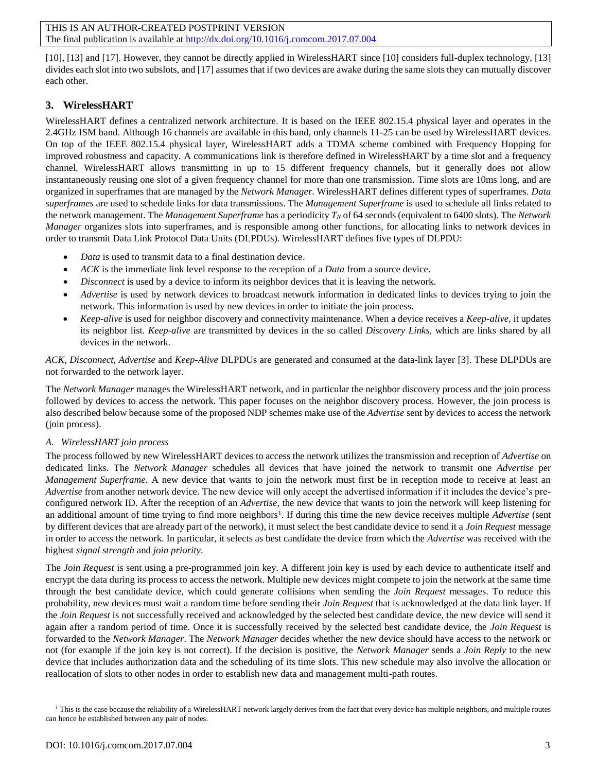[\[10\],](#page-18-8) [\[13\]](#page-18-11) an[d \[17\].](#page-18-15) However, they cannot be directly applied in WirelessHART sinc[e \[10\]](#page-18-8) considers full-duplex technology, [\[13\]](#page-18-11) divides each slot into two subslots, an[d \[17\]](#page-18-15) assumes that if two devices are awake during the same slots they can mutually discover each other.

# <span id="page-2-0"></span>**3. WirelessHART**

WirelessHART defines a centralized network architecture. It is based on the IEEE 802.15.4 physical layer and operates in the 2.4GHz ISM band. Although 16 channels are available in this band, only channels 11-25 can be used by WirelessHART devices. On top of the IEEE 802.15.4 physical layer, WirelessHART adds a TDMA scheme combined with Frequency Hopping for improved robustness and capacity. A communications link is therefore defined in WirelessHART by a time slot and a frequency channel. WirelessHART allows transmitting in up to 15 different frequency channels, but it generally does not allow instantaneously reusing one slot of a given frequency channel for more than one transmission. Time slots are 10ms long, and are organized in superframes that are managed by the *Network Manager*. WirelessHART defines different types of superframes. *Data superframes* are used to schedule links for data transmissions. The *Management Superframe* is used to schedule all links related to the network management. The *Management Superframe* has a periodicity *T<sup>N</sup>* of 64 seconds (equivalent to 6400 slots). The *Network Manager* organizes slots into superframes, and is responsible among other functions, for allocating links to network devices in order to transmit Data Link Protocol Data Units (DLPDUs). WirelessHART defines five types of DLPDU:

- *Data* is used to transmit data to a final destination device.
- *ACK* is the immediate link level response to the reception of a *Data* from a source device.
- *Disconnect* is used by a device to inform its neighbor devices that it is leaving the network.
- *Advertise* is used by network devices to broadcast network information in dedicated links to devices trying to join the network. This information is used by new devices in order to initiate the join process.
- *Keep-alive* is used for neighbor discovery and connectivity maintenance. When a device receives a *Keep-alive*, it updates its neighbor list. *Keep-alive* are transmitted by devices in the so called *Discovery Links*, which are links shared by all devices in the network.

*ACK*, *Disconnect*, *Advertise* and *Keep-Alive* DLPDUs are generated and consumed at the data-link layer [\[3\].](#page-18-1) These DLPDUs are not forwarded to the network layer.

The *Network Manager* manages the WirelessHART network, and in particular the neighbor discovery process and the join process followed by devices to access the network. This paper focuses on the neighbor discovery process. However, the join process is also described below because some of the proposed NDP schemes make use of the *Advertise* sent by devices to access the network (join process).

## <span id="page-2-1"></span>*A. WirelessHART join process*

The process followed by new WirelessHART devices to access the network utilizes the transmission and reception of *Advertise* on dedicated links. The *Network Manager* schedules all devices that have joined the network to transmit one *Advertise* per *Management Superframe*. A new device that wants to join the network must first be in reception mode to receive at least an *Advertise* from another network device. The new device will only accept the advertised information if it includes the device's preconfigured network ID. After the reception of an *Advertise*, the new device that wants to join the network will keep listening for an additional amount of time trying to find more neighbors<sup>1</sup>. If during this time the new device receives multiple *Advertise* (sent by different devices that are already part of the network), it must select the best candidate device to send it a *Join Request* message in order to access the network. In particular, it selects as best candidate the device from which the *Advertise* was received with the highest *signal strength* and *join priority*.

The *Join Request* is sent using a pre-programmed join key. A different join key is used by each device to authenticate itself and encrypt the data during its process to access the network. Multiple new devices might compete to join the network at the same time through the best candidate device, which could generate collisions when sending the *Join Request* messages. To reduce this probability, new devices must wait a random time before sending their *Join Request* that is acknowledged at the data link layer. If the *Join Request* is not successfully received and acknowledged by the selected best candidate device, the new device will send it again after a random period of time. Once it is successfully received by the selected best candidate device, the *Join Request* is forwarded to the *Network Manager*. The *Network Manager* decides whether the new device should have access to the network or not (for example if the join key is not correct). If the decision is positive, the *Network Manager* sends a *Join Reply* to the new device that includes authorization data and the scheduling of its time slots. This new schedule may also involve the allocation or reallocation of slots to other nodes in order to establish new data and management multi-path routes.

<sup>&</sup>lt;sup>1</sup> This is the case because the reliability of a WirelessHART network largely derives from the fact that every device has multiple neighbors, and multiple routes can hence be established between any pair of nodes.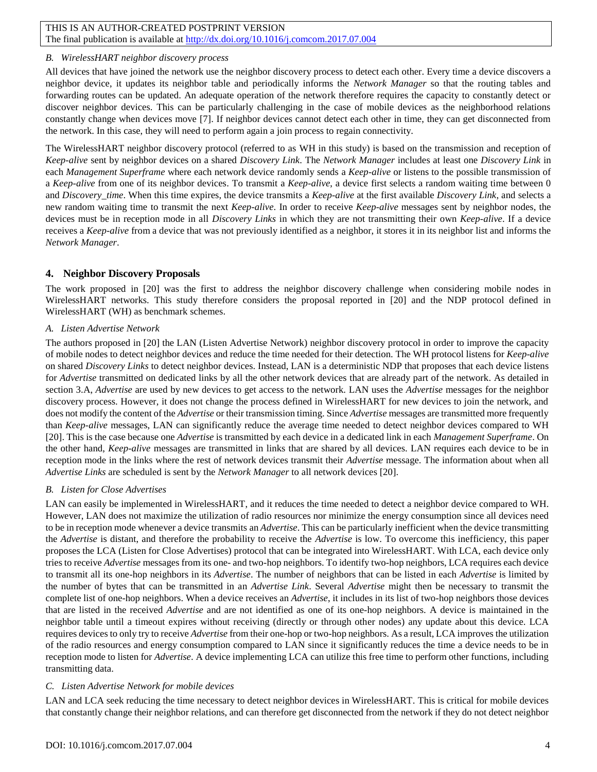# *B. WirelessHART neighbor discovery process*

All devices that have joined the network use the neighbor discovery process to detect each other. Every time a device discovers a neighbor device, it updates its neighbor table and periodically informs the *Network Manager* so that the routing tables and forwarding routes can be updated. An adequate operation of the network therefore requires the capacity to constantly detect or discover neighbor devices. This can be particularly challenging in the case of mobile devices as the neighborhood relations constantly change when devices move [\[7\].](#page-18-5) If neighbor devices cannot detect each other in time, they can get disconnected from the network. In this case, they will need to perform again a join process to regain connectivity.

The WirelessHART neighbor discovery protocol (referred to as WH in this study) is based on the transmission and reception of *Keep-alive* sent by neighbor devices on a shared *Discovery Link*. The *Network Manager* includes at least one *Discovery Link* in each *Management Superframe* where each network device randomly sends a *Keep-alive* or listens to the possible transmission of a *Keep-alive* from one of its neighbor devices. To transmit a *Keep-alive*, a device first selects a random waiting time between 0 and *Discovery\_time*. When this time expires, the device transmits a *Keep-alive* at the first available *Discovery Link*, and selects a new random waiting time to transmit the next *Keep-alive*. In order to receive *Keep-alive* messages sent by neighbor nodes, the devices must be in reception mode in all *Discovery Links* in which they are not transmitting their own *Keep-alive*. If a device receives a *Keep-alive* from a device that was not previously identified as a neighbor, it stores it in its neighbor list and informs the *Network Manager*.

## <span id="page-3-0"></span>**4. Neighbor Discovery Proposals**

The work proposed in [\[20\]](#page-18-18) was the first to address the neighbor discovery challenge when considering mobile nodes in WirelessHART networks. This study therefore considers the proposal reported in [\[20\]](#page-18-18) and the NDP protocol defined in WirelessHART (WH) as benchmark schemes.

## *A. Listen Advertise Network*

The authors proposed in [\[20\]](#page-18-18) the LAN (Listen Advertise Network) neighbor discovery protocol in order to improve the capacity of mobile nodes to detect neighbor devices and reduce the time needed for their detection. The WH protocol listens for *Keep*-*alive* on shared *Discovery Links* to detect neighbor devices. Instead, LAN is a deterministic NDP that proposes that each device listens for *Advertise* transmitted on dedicated links by all the other network devices that are already part of the network. As detailed in section [3.A,](#page-2-1) *Advertise* are used by new devices to get access to the network. LAN uses the *Advertise* messages for the neighbor discovery process. However, it does not change the process defined in WirelessHART for new devices to join the network, and does not modify the content of the *Advertise* or their transmission timing. Since *Advertise* messages are transmitted more frequently than *Keep-alive* messages, LAN can significantly reduce the average time needed to detect neighbor devices compared to WH [\[20\].](#page-18-18) This is the case because one *Advertise* is transmitted by each device in a dedicated link in each *Management Superframe*. On the other hand, *Keep-alive* messages are transmitted in links that are shared by all devices. LAN requires each device to be in reception mode in the links where the rest of network devices transmit their *Advertise* message. The information about when all *Advertise Links* are scheduled is sent by the *Network Manager* to all network devices [\[20\].](#page-18-18)

## *B. Listen for Close Advertises*

LAN can easily be implemented in WirelessHART, and it reduces the time needed to detect a neighbor device compared to WH. However, LAN does not maximize the utilization of radio resources nor minimize the energy consumption since all devices need to be in reception mode whenever a device transmits an *Advertise*. This can be particularly inefficient when the device transmitting the *Advertise* is distant, and therefore the probability to receive the *Advertise* is low. To overcome this inefficiency, this paper proposes the LCA (Listen for Close Advertises) protocol that can be integrated into WirelessHART. With LCA, each device only tries to receive *Advertise* messages from its one- and two-hop neighbors. To identify two-hop neighbors, LCA requires each device to transmit all its one-hop neighbors in its *Advertise*. The number of neighbors that can be listed in each *Advertise* is limited by the number of bytes that can be transmitted in an *Advertise Link*. Several *Advertise* might then be necessary to transmit the complete list of one-hop neighbors. When a device receives an *Advertise*, it includes in its list of two-hop neighbors those devices that are listed in the received *Advertise* and are not identified as one of its one-hop neighbors. A device is maintained in the neighbor table until a timeout expires without receiving (directly or through other nodes) any update about this device. LCA requires devices to only try to receive *Advertise* from their one-hop or two-hop neighbors. As a result, LCA improves the utilization of the radio resources and energy consumption compared to LAN since it significantly reduces the time a device needs to be in reception mode to listen for *Advertise*. A device implementing LCA can utilize this free time to perform other functions, including transmitting data.

## *C. Listen Advertise Network for mobile devices*

LAN and LCA seek reducing the time necessary to detect neighbor devices in WirelessHART. This is critical for mobile devices that constantly change their neighbor relations, and can therefore get disconnected from the network if they do not detect neighbor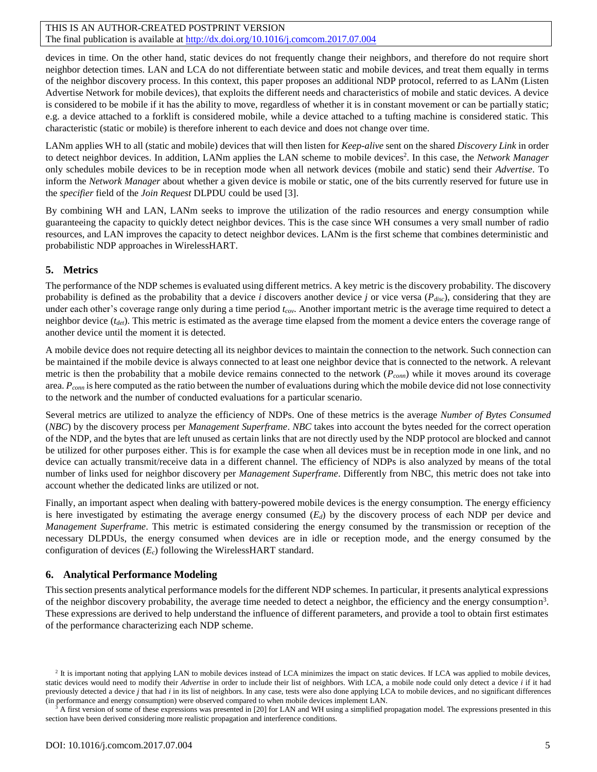devices in time. On the other hand, static devices do not frequently change their neighbors, and therefore do not require short neighbor detection times. LAN and LCA do not differentiate between static and mobile devices, and treat them equally in terms of the neighbor discovery process. In this context, this paper proposes an additional NDP protocol, referred to as LANm (Listen Advertise Network for mobile devices), that exploits the different needs and characteristics of mobile and static devices. A device is considered to be mobile if it has the ability to move, regardless of whether it is in constant movement or can be partially static; e.g. a device attached to a forklift is considered mobile, while a device attached to a tufting machine is considered static. This characteristic (static or mobile) is therefore inherent to each device and does not change over time.

LANm applies WH to all (static and mobile) devices that will then listen for *Keep*-*alive* sent on the shared *Discovery Link* in order to detect neighbor devices. In addition, LANm applies the LAN scheme to mobile devices<sup>2</sup>. In this case, the *Network Manager* only schedules mobile devices to be in reception mode when all network devices (mobile and static) send their *Advertise*. To inform the *Network Manager* about whether a given device is mobile or static, one of the bits currently reserved for future use in the *specifier* field of the *Join Request* DLPDU could be used [\[3\].](#page-18-1)

By combining WH and LAN, LANm seeks to improve the utilization of the radio resources and energy consumption while guaranteeing the capacity to quickly detect neighbor devices. This is the case since WH consumes a very small number of radio resources, and LAN improves the capacity to detect neighbor devices. LANm is the first scheme that combines deterministic and probabilistic NDP approaches in WirelessHART.

# <span id="page-4-0"></span>**5. Metrics**

The performance of the NDP schemes is evaluated using different metrics. A key metric is the discovery probability. The discovery probability is defined as the probability that a device *i* discovers another device *j* or vice versa (*Pdisc*), considering that they are under each other's coverage range only during a time period *tcov*. Another important metric is the average time required to detect a neighbor device (*tdet*). This metric is estimated as the average time elapsed from the moment a device enters the coverage range of another device until the moment it is detected.

A mobile device does not require detecting all its neighbor devices to maintain the connection to the network. Such connection can be maintained if the mobile device is always connected to at least one neighbor device that is connected to the network. A relevant metric is then the probability that a mobile device remains connected to the network (*Pconn*) while it moves around its coverage area. *P*<sub>conn</sub> is here computed as the ratio between the number of evaluations during which the mobile device did not lose connectivity to the network and the number of conducted evaluations for a particular scenario.

Several metrics are utilized to analyze the efficiency of NDPs. One of these metrics is the average *Number of Bytes Consumed*  (*NBC*) by the discovery process per *Management Superframe*. *NBC* takes into account the bytes needed for the correct operation of the NDP, and the bytes that are left unused as certain links that are not directly used by the NDP protocol are blocked and cannot be utilized for other purposes either. This is for example the case when all devices must be in reception mode in one link, and no device can actually transmit/receive data in a different channel. The efficiency of NDPs is also analyzed by means of the total number of links used for neighbor discovery per *Management Superframe*. Differently from NBC, this metric does not take into account whether the dedicated links are utilized or not.

Finally, an important aspect when dealing with battery-powered mobile devices is the energy consumption. The energy efficiency is here investigated by estimating the average energy consumed (*Ed*) by the discovery process of each NDP per device and *Management Superframe*. This metric is estimated considering the energy consumed by the transmission or reception of the necessary DLPDUs, the energy consumed when devices are in idle or reception mode, and the energy consumed by the configuration of devices (*Ec*) following the WirelessHART standard.

# <span id="page-4-1"></span>**6. Analytical Performance Modeling**

This section presents analytical performance models for the different NDP schemes. In particular, it presents analytical expressions of the neighbor discovery probability, the average time needed to detect a neighbor, the efficiency and the energy consumption<sup>3</sup>. These expressions are derived to help understand the influence of different parameters, and provide a tool to obtain first estimates of the performance characterizing each NDP scheme.

<sup>&</sup>lt;sup>2</sup> It is important noting that applying LAN to mobile devices instead of LCA minimizes the impact on static devices. If LCA was applied to mobile devices, static devices would need to modify their *Advertise* in order to include their list of neighbors. With LCA, a mobile node could only detect a device *i* if it had previously detected a device *j* that had *i* in its list of neighbors. In any case, tests were also done applying LCA to mobile devices, and no significant differences (in performance and energy consumption) were observed compared to when mobile devices implement LAN.

<sup>3</sup> A first version of some of these expressions was presented in [\[20\]](#page-18-18) for LAN and WH using a simplified propagation model. The expressions presented in this section have been derived considering more realistic propagation and interference conditions.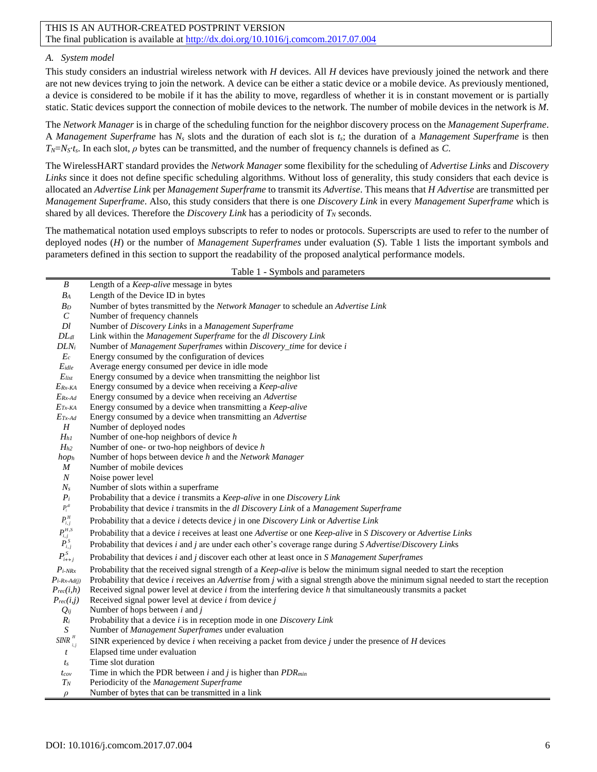## *A. System model*

This study considers an industrial wireless network with *H* devices. All *H* devices have previously joined the network and there are not new devices trying to join the network. A device can be either a static device or a mobile device. As previously mentioned, a device is considered to be mobile if it has the ability to move, regardless of whether it is in constant movement or is partially static. Static devices support the connection of mobile devices to the network. The number of mobile devices in the network is *M*.

The *Network Manager* is in charge of the scheduling function for the neighbor discovery process on the *Management Superframe*. A *Management Superframe* has *N<sup>s</sup>* slots and the duration of each slot is *ts*; the duration of a *Management Superframe* is then  $T_N = N_S t_s$ . In each slot, *ρ* bytes can be transmitted, and the number of frequency channels is defined as *C*.

The WirelessHART standard provides the *Network Manager* some flexibility for the scheduling of *Advertise Links* and *Discovery Links* since it does not define specific scheduling algorithms. Without loss of generality, this study considers that each device is allocated an *Advertise Link* per *Management Superframe* to transmit its *Advertise*. This means that *H Advertise* are transmitted per *Management Superframe*. Also, this study considers that there is one *Discovery Link* in every *Management Superframe* which is shared by all devices. Therefore the *Discovery Link* has a periodicity of  $T_N$  seconds.

The mathematical notation used employs subscripts to refer to nodes or protocols. Superscripts are used to refer to the number of deployed nodes (*H*) or the number of *Management Superframes* under evaluation (*S*). [Table 1](#page-5-0) lists the important symbols and parameters defined in this section to support the readability of the proposed analytical performance models.

### Table 1 - Symbols and parameters

<span id="page-5-0"></span>

| $\boldsymbol{B}$                 | Length of a <i>Keep-alive</i> message in bytes                                                                                                            |
|----------------------------------|-----------------------------------------------------------------------------------------------------------------------------------------------------------|
| $B_A$                            | Length of the Device ID in bytes                                                                                                                          |
| $B_D$                            | Number of bytes transmitted by the Network Manager to schedule an Advertise Link                                                                          |
| $\mathcal C$                     | Number of frequency channels                                                                                                                              |
| DI                               | Number of Discovery Links in a Management Superframe                                                                                                      |
| $DL_{dl}$                        | Link within the Management Superframe for the dl Discovery Link                                                                                           |
| $DLN_i$                          | Number of Management Superframes within Discovery_time for device i                                                                                       |
| $E_c$                            | Energy consumed by the configuration of devices                                                                                                           |
| $E_{idle}$                       | Average energy consumed per device in idle mode                                                                                                           |
| $E$ list                         | Energy consumed by a device when transmitting the neighbor list                                                                                           |
| $E_{Rx-KA}$                      | Energy consumed by a device when receiving a Keep-alive                                                                                                   |
| $E_{Rx-Ad}$                      | Energy consumed by a device when receiving an <i>Advertise</i>                                                                                            |
| $E$ <i>Tx</i> - <i>KA</i>        | Energy consumed by a device when transmitting a Keep-alive                                                                                                |
| $E_{Tx-Ad}$                      | Energy consumed by a device when transmitting an Advertise                                                                                                |
| H                                | Number of deployed nodes                                                                                                                                  |
| $H_{hl}$                         | Number of one-hop neighbors of device $h$                                                                                                                 |
| $H_{h2}$                         | Number of one- or two-hop neighbors of device $h$                                                                                                         |
| hoph                             | Number of hops between device h and the Network Manager                                                                                                   |
| $\boldsymbol{M}$                 | Number of mobile devices                                                                                                                                  |
| $\boldsymbol{N}$                 | Noise power level                                                                                                                                         |
| $N_{s}$                          | Number of slots within a superframe                                                                                                                       |
| $P_i$                            | Probability that a device i transmits a Keep-alive in one Discovery Link                                                                                  |
| $P_i^{dl}$                       | Probability that device <i>i</i> transmits in the <i>dl Discovery Link</i> of a <i>Management Superframe</i>                                              |
| $P_{i,j}^H$                      | Probability that a device <i>i</i> detects device <i>j</i> in one <i>Discovery Link</i> or <i>Advertise Link</i>                                          |
| $P_{i,j}^{H,S}$<br>$P_{i,j}^{S}$ | Probability that a device <i>i</i> receives at least one Advertise or one Keep-alive in S Discovery or Advertise Links                                    |
|                                  | Probability that devices <i>i</i> and <i>j</i> are under each other's coverage range during <i>S Advertise/Discovery Links</i>                            |
| $P^S_{i \leftrightarrow j}$      | Probability that devices <i>i</i> and <i>j</i> discover each other at least once in <i>S Management Superframes</i>                                       |
| $P_{i\text{-}NRx}$               | Probability that the received signal strength of a <i>Keep-alive</i> is below the minimum signal needed to start the reception                            |
| $P_{i-Rx\text{-}Ad(i)}$          | Probability that device <i>i</i> receives an <i>Advertise</i> from <i>j</i> with a signal strength above the minimum signal needed to start the reception |
| $P_{rec}(i,h)$                   | Received signal power level at device $i$ from the interfering device $h$ that simultaneously transmits a packet                                          |
| $P_{rec}(i,j)$                   | Received signal power level at device $i$ from device $j$                                                                                                 |
| $Q_{ij}$                         | Number of hops between $i$ and $j$                                                                                                                        |
| $R_i$                            | Probability that a device <i>i</i> is in reception mode in one <i>Discovery Link</i>                                                                      |
| $\boldsymbol{S}$                 | Number of Management Superframes under evaluation                                                                                                         |
| $SINR \frac{H}{i,j}$             | SINR experienced by device $i$ when receiving a packet from device $j$ under the presence of $H$ devices                                                  |
| $\boldsymbol{t}$                 | Elapsed time under evaluation                                                                                                                             |
| $t_{s}$                          | Time slot duration                                                                                                                                        |
| $t_{cov}$                        | Time in which the PDR between $i$ and $j$ is higher than $PDR_{min}$                                                                                      |
| $T_N$                            | Periodicity of the Management Superframe                                                                                                                  |
| $\rho$                           | Number of bytes that can be transmitted in a link                                                                                                         |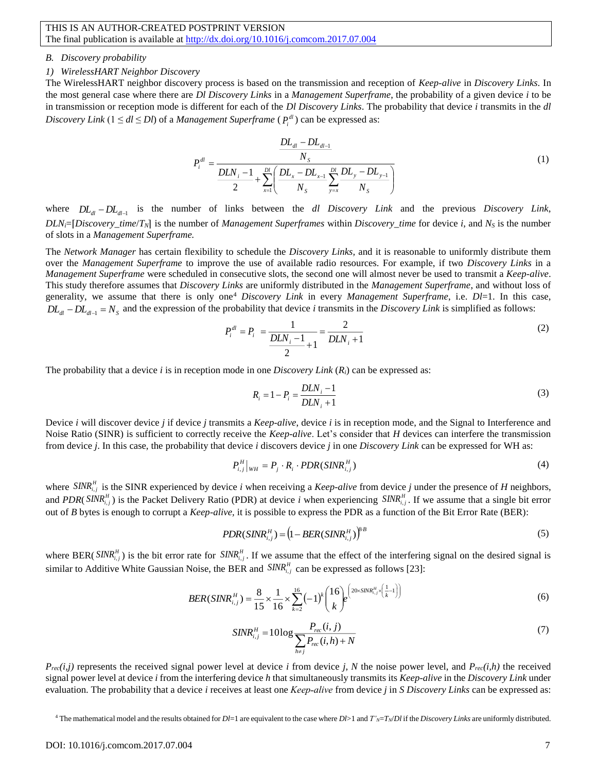#### *B. Discovery probability*

#### *1) WirelessHART Neighbor Discovery*

The WirelessHART neighbor discovery process is based on the transmission and reception of *Keep-alive* in *Discovery Links*. In the most general case where there are *Dl Discovery Links* in a *Management Superframe*, the probability of a given device *i* to be in transmission or reception mode is different for each of the *Dl Discovery Links*. The probability that device *i* transmits in the *dl Discovery Link* ( $1 \le d \le Dl$ ) of a *Management Superframe* ( $P_i^{d_l}$ ) can be expressed as:

$$
P_i^{dl} = \frac{\frac{DL_{dl} - DL_{dl-1}}{N_s}}{\frac{DL_{N_i} - 1}{2} + \sum_{x=1}^{pl} \left(\frac{DL_x - DL_{x-1}}{N_s} \sum_{y=x}^{pl} \frac{DL_y - DL_{y-1}}{N_s}\right)}
$$
(1)

where  $DL_{d} - DL_{d-1}$  is the number of links between the *dl Discovery Link* and the previous *Discovery Link*,  $DLN_i=[Discover\_time/T_N]$  is the number of *Management Superframes* within *Discovery\_time* for device *i*, and  $N_S$  is the number of slots in a *Management Superframe.*

The *Network Manager* has certain flexibility to schedule the *Discovery Links,* and it is reasonable to uniformly distribute them over the *Management Superframe* to improve the use of available radio resources. For example, if two *Discovery Links* in a *Management Superframe* were scheduled in consecutive slots, the second one will almost never be used to transmit a *Keep-alive*. This study therefore assumes that *Discovery Links* are uniformly distributed in the *Management Superframe*, and without loss of generality, we assume that there is only one<sup>4</sup> *Discovery Link* in every *Management Superframe*, i.e. *Dl*=1. In this case,  $DL<sub>d</sub> - DL<sub>d-l</sub> = N<sub>s</sub>$  and the expression of the probability that device *i* transmits in the *Discovery Link* is simplified as follows:

$$
P_i^{dl} = P_i = \frac{1}{\frac{DLN_i - 1}{2} + 1} = \frac{2}{DLN_i + 1}
$$
 (2)

The probability that a device *i* is in reception mode in one *Discovery Link* (*Ri*) can be expressed as:

<span id="page-6-1"></span>
$$
R_i = 1 - P_i = \frac{DLN_i - 1}{DLN_i + 1}
$$
\n(3)

Device *i* will discover device *j* if device *j* transmits a *Keep-alive*, device *i* is in reception mode, and the Signal to Interference and Noise Ratio (SINR) is sufficient to correctly receive the *Keep-alive*. Let's consider that *H* devices can interfere the transmission from device *j*. In this case, the probability that device *i* discovers device *j* in one *Discovery Link* can be expressed for WH as:

$$
P_{i,j}^H|_{WH} = P_j \cdot R_i \cdot PDR(SINR_{i,j}^H)
$$
\n
$$
\tag{4}
$$

where  $SINR_{i,j}^H$  is the SINR experienced by device *i* when receiving a *Keep-alive* from device *j* under the presence of *H* neighbors, and *PDR*( $SINR_{i,j}^H$ ) is the Packet Delivery Ratio (PDR) at device *i* when experiencing  $SINR_{i,j}^H$ . If we assume that a single bit error out of *B* bytes is enough to corrupt a *Keep-alive,* it is possible to express the PDR as a function of the Bit Error Rate (BER):

$$
PDR(SINR_{i,j}^H) = \left(1 - BER(SINR_{i,j}^H)\right)^{8B}
$$
\n<sup>(5)</sup>

where BER( $SINR_{i,j}^H$ ) is the bit error rate for  $SINR_{i,j}^H$ . If we assume that the effect of the interfering signal on the desired signal is similar to Additive White Gaussian Noise, the BER and  $\textit{SINR}_{i,j}^H$  can be expressed as follows [\[23\]:](#page-18-21)

$$
BER(SINR_{i,j}^H) = \frac{8}{15} \times \frac{1}{16} \times \sum_{k=2}^{16} (-1)^k {16 \choose k} e^{20 \times SNR_{i,j}^H \times \left(\frac{1}{k}-1\right)}
$$
(6)

<span id="page-6-0"></span>
$$
SINR_{i,j}^H = 10\log \frac{P_{rec}(i,j)}{\sum_{h \neq j} P_{rec}(i,h) + N}
$$
(7)

 $P_{rec}(i,j)$  represents the received signal power level at device *i* from device *j*, N the noise power level, and  $P_{rec}(i,h)$  the received signal power level at device *i* from the interfering device *h* that simultaneously transmits its *Keep-alive* in the *Discovery Link* under evaluation. The probability that a device *i* receives at least one *Keep-alive* from device *j* in *S* Discovery Links can be expressed as:

<sup>&</sup>lt;sup>4</sup> The mathematical model and the results obtained for  $Dl=1$  are equivalent to the case where  $Dl>1$  and  $T'_{N}=T_{N}/Dl$  if the *Discovery Links* are uniformly distributed.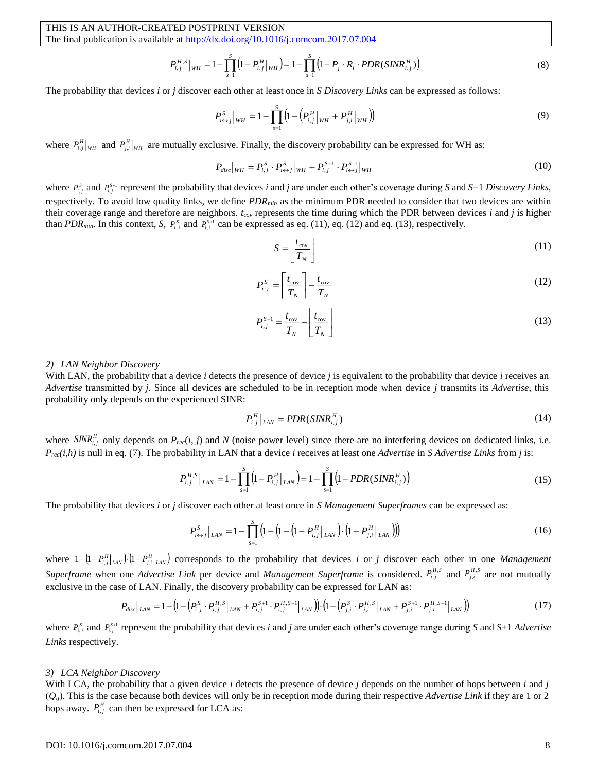$$
P_{i,j}^{H,S}|_{WH} = 1 - \prod_{s=1}^{S} (1 - P_{i,j}^{H}|_{WH}) = 1 - \prod_{s=1}^{S} (1 - P_j \cdot R_i \cdot PDR(SINR_{i,j}^{H}))
$$
\n(8)

The probability that devices *i* or *j* discover each other at least once in *S Discovery Links* can be expressed as follows:

$$
P_{i \leftrightarrow j}^{S} \big|_{WH} = 1 - \prod_{s=1}^{S} \left( 1 - \left( P_{i,j}^{H} \big|_{WH} + P_{j,i}^{H} \big|_{WH} \right) \right)
$$
(9)

where  $P_{i,j}^H|_{WH}$  and  $P_{j,i}^H|_{WH}$  are mutually exclusive. Finally, the discovery probability can be expressed for WH as:

$$
P_{disc}|_{WH} = P_{i,j}^{S} \cdot P_{i \leftrightarrow j}^{S}|_{WH} + P_{i,j}^{S+1} \cdot P_{i \leftrightarrow j}^{S+1}|_{WH}
$$
 (10)

where  $P_{i,j}^s$  and  $P_{i,j}^{s+1}$  represent the probability that devices i and j are under each other's coverage during S and S+1 Discovery Links, respectively. To avoid low quality links, we define *PDRmin* as the minimum PDR needed to consider that two devices are within their coverage range and therefore are neighbors. *tcov* represents the time during which the PDR between devices *i* and *j* is higher than *PDR<sub>min</sub>*. In this context, *S*,  $P_{i,j}^s$  and  $P_{i,j}^{s+1}$  can be expressed as eq. [\(11\),](#page-7-0) eq. [\(12\)](#page-7-1) and eq[. \(13\),](#page-7-2) respectively.

<span id="page-7-2"></span><span id="page-7-1"></span><span id="page-7-0"></span>
$$
S = \left\lfloor \frac{t_{\text{cov}}}{T_N} \right\rfloor \tag{11}
$$

$$
P_{i,j}^S = \left[\frac{t_{\rm cov}}{T_N}\right] - \frac{t_{\rm cov}}{T_N} \tag{12}
$$

$$
P_{i,j}^{S+1} = \frac{t_{\text{cov}}}{T_N} - \left\lfloor \frac{t_{\text{cov}}}{T_N} \right\rfloor \tag{13}
$$

#### *2) LAN Neighbor Discovery*

With LAN, the probability that a device *i* detects the presence of device *j* is equivalent to the probability that device *i* receives an *Advertise* transmitted by *j*. Since all devices are scheduled to be in reception mode when device *j* transmits its *Advertise*, this probability only depends on the experienced SINR:

<span id="page-7-4"></span><span id="page-7-3"></span>
$$
P_{i,j}^H|_{LAN} = PDR(SINR_{i,j}^H) \tag{14}
$$

where  $\textit{SINR}_{i,j}^H$  only depends on  $P_{\textit{rec}}(i, j)$  and N (noise power level) since there are no interfering devices on dedicated links, i.e.  $P_{rec}(i,h)$  is null in eq. [\(7\).](#page-6-0) The probability in LAN that a device *i* receives at least one *Advertise* in *S Advertise Links* from *j* is:

$$
P_{i,j}^{H,S}|_{LAN}=1-\prod_{s=1}^{S}\left(1-P_{i,j}^{H}|_{LAN}\right)=1-\prod_{s=1}^{S}\left(1-PDR(SINR_{i,j}^{H})\right)
$$
\n(15)

The probability that devices *i* or *j* discover each other at least once in *S Management Superframes* can be expressed as:

$$
P_{i \leftrightarrow j}^{S} \big|_{LAN} = 1 - \prod_{s=1}^{S} \big( 1 - \big( 1 - \big( 1 - P_{i,j}^{H} \big|_{LAN} \big) \cdot \big( 1 - P_{j,i}^{H} \big|_{LAN} \big) \big) \big)
$$
(16)

where  $1 - (1 - P_{i,j}^H|_{LAN}) \cdot (1 - P_{j,i}^H|_{LAN})$  corresponds to the probability that devices *i* or *j* discover each other in one *Management* Superframe when one Advertise Link per device and Management Superframe is considered.  $P_{i,j}^{H,S}$  and  $P_{j,i}^{H,S}$  are not mutually exclusive in the case of LAN. Finally, the discovery probability can be expressed for LAN as:

$$
P_{disc}\big|_{LAN} = 1 - \left(1 - \left(P_{i,j}^S \cdot P_{i,j}^{H,S}\big|_{LAN} + P_{i,j}^{S+1} \cdot P_{i,j}^{H,S+1}\big|_{LAN}\right)\right) \cdot \left(1 - \left(P_{j,i}^S \cdot P_{j,i}^{H,S}\big|_{LAN} + P_{j,i}^{S+1} \cdot P_{j,i}^{H,S+1}\big|_{LAN}\right)\right) \tag{17}
$$

where  $P_{i,j}^s$  and  $P_{i,j}^{s+1}$  represent the probability that devices i and j are under each other's coverage range during S and S+1 Advertise *Links* respectively.

#### *3) LCA Neighbor Discovery*

With LCA, the probability that a given device *i* detects the presence of device *j* depends on the number of hops between *i* and *j* (*Qij*). This is the case because both devices will only be in reception mode during their respective *Advertise Link* if they are 1 or 2 hops away.  $P_{i,j}^H$  can then be expressed for LCA as: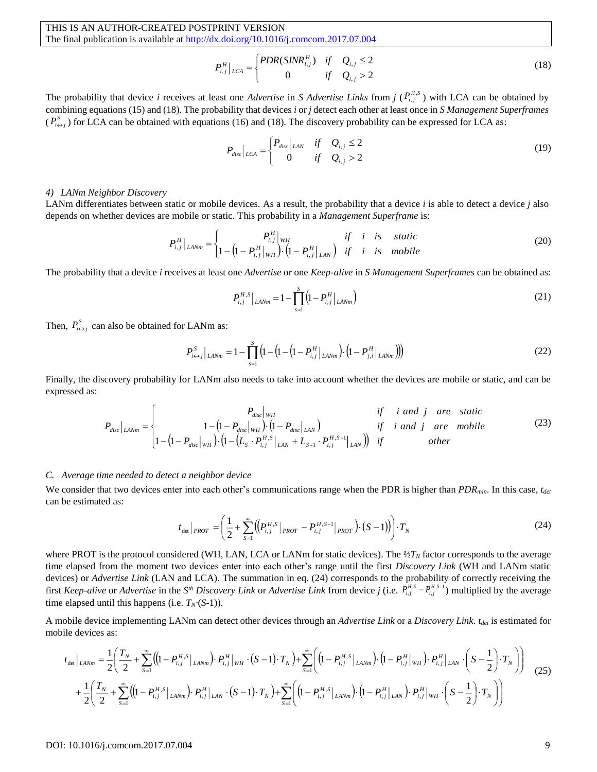<span id="page-8-0"></span>
$$
P_{i,j}^H|_{LCA} = \begin{cases} PDR(SINR_{i,j}^H) & \text{if} \quad Q_{i,j} \le 2\\ 0 & \text{if} \quad Q_{i,j} > 2 \end{cases}
$$
(18)

The probability that device *i* receives at least one *Advertise* in *S Advertise Links* from  $j$  ( $P_{i,j}^{H,s}$ ) with LCA can be obtained by combining equations [\(15\)](#page-7-3) an[d \(18\).](#page-8-0) The probability that devices *i* or *j* detect each other at least once in *S Management Superframes*  $(P_{i\leftrightarrow j}^s)$  for LCA can be obtained with equations [\(16\)](#page-7-4) and [\(18\).](#page-8-0) The discovery probability can be expressed for LCA as:

$$
P_{disc}\big|_{LCA} = \begin{cases} P_{disc}\big|_{LAN} & \text{if } Q_{i,j} \le 2\\ 0 & \text{if } Q_{i,j} > 2 \end{cases} \tag{19}
$$

#### *4) LANm Neighbor Discovery*

LANm differentiates between static or mobile devices. As a result, the probability that a device *i* is able to detect a device *j* also depends on whether devices are mobile or static. This probability in a *Management Superframe* is:

$$
P_{i,j}^H|_{LANm} = \begin{cases} P_{i,j}^H|_{WH} & if i is static\\ 1 - \left(1 - P_{i,j}^H|_{WH}\right) \cdot \left(1 - P_{i,j}^H|_{LAN}\right) & if i is mobile \end{cases}
$$
 (20)

The probability that a device *i* receives at least one *Advertise* or one *Keep-alive* in *S Management Superframes* can be obtained as:

$$
P_{i,j}^{H,S}|_{LANm} = 1 - \prod_{s=1}^{S} \left( 1 - P_{i,j}^{H} \right)_{LANm} \tag{21}
$$

Then,  $P_{i \leftrightarrow j}^{S}$  can also be obtained for LANm as:

$$
P_{i \leftrightarrow j}^{S} \big|_{LANm} = 1 - \prod_{s=1}^{S} \big( 1 - \big( 1 - \big( 1 - P_{i,j}^{H} \big|_{LANm} \big) \cdot \big( 1 - P_{j,i}^{H} \big|_{LANm} \big) \big) \big) \tag{22}
$$

Finally, the discovery probability for LANm also needs to take into account whether the devices are mobile or static, and can be expressed as:

$$
P_{disc}\big|_{LANm} = \begin{cases} P_{disc}\big|_{WH} & \text{if } i \text{ and } j \text{ are static} \\ 1 - \big(1 - P_{disc}\big|_{WH}\big) \cdot \big(1 - P_{disc}\big|_{LAN}\big) & \text{if } i \text{ and } j \text{ are mobile} \\ 1 - \big(1 - P_{disc}\big|_{WH}\big) \cdot \big(1 - \big(L_S \cdot P_{i,j}^{H,S}\big|_{LAN} + L_{S+1} \cdot P_{i,j}^{H,S+1}\big|_{LAN}\big)\big) & \text{if } \text{other} \end{cases} \tag{23}
$$

#### *C. Average time needed to detect a neighbor device*

We consider that two devices enter into each other's communications range when the PDR is higher than *PDRmin*. In this case, *tdet* can be estimated as:

<span id="page-8-2"></span><span id="page-8-1"></span>
$$
t_{\text{det}}|_{\text{PROT}} = \left(\frac{1}{2} + \sum_{S=1}^{\infty} \left( \left( P_{i,j}^{H,S} \middle|_{\text{PROT}} - P_{i,j}^{H,S-1} \middle|_{\text{PROT}} \right) \cdot (S-1) \right) \right) \cdot T_N \tag{24}
$$

where PROT is the protocol considered (WH, LAN, LCA or LANm for static devices). The *½T<sup>N</sup>* factor corresponds to the average time elapsed from the moment two devices enter into each other's range until the first *Discovery Link* (WH and LANm static devices) or *Advertise Link* (LAN and LCA). The summation in eq. [\(24\)](#page-8-1) corresponds to the probability of correctly receiving the first Keep-alive or Advertise in the S<sup>th</sup> Discovery Link or Advertise Link from device j (i.e.  $P_{i,j}^{H,s} - P_{i,j}^{H,s-1}$ ) multiplied by the average time elapsed until this happens (i.e. *TN∙*(*S*-1)).

A mobile device implementing LANm can detect other devices through an *Advertise Link* or a *Discovery Link*. *tdet* is estimated for mobile devices as:

$$
t_{\text{det}}|_{LANm} = \frac{1}{2} \left( \frac{T_N}{2} + \sum_{S=1}^{\infty} \left( \left( 1 - P_{i,j}^{H,S} \right)_{LANm} \right) \cdot P_{i,j}^H \Big|_{WH} \cdot (S-1) \cdot T_N \right) + \sum_{S=1}^{\infty} \left( \left( 1 - P_{i,j}^{H,S} \right)_{LANm} \right) \cdot \left( 1 - P_{i,j}^H \Big|_{WH} \cdot P_{i,j}^H \Big|_{LAN} \cdot \left( S - \frac{1}{2} \right) \cdot T_N \right) \right) \tag{25}
$$
\n
$$
+ \frac{1}{2} \left( \frac{T_N}{2} + \sum_{S=1}^{\infty} \left( \left( 1 - P_{i,j}^{H,S} \right)_{LANm} \right) \cdot P_{i,j}^H \Big|_{LAN} \cdot (S-1) \cdot T_N \right) + \sum_{S=1}^{\infty} \left( \left( 1 - P_{i,j}^{H,S} \right)_{LANm} \right) \cdot \left( 1 - P_{i,j}^H \Big|_{LAN} \right) \cdot P_{i,j}^H \Big|_{WH} \cdot \left( S - \frac{1}{2} \right) \cdot T_N \right)
$$

#### DOI: 10.1016/j.comcom.2017.07.004 9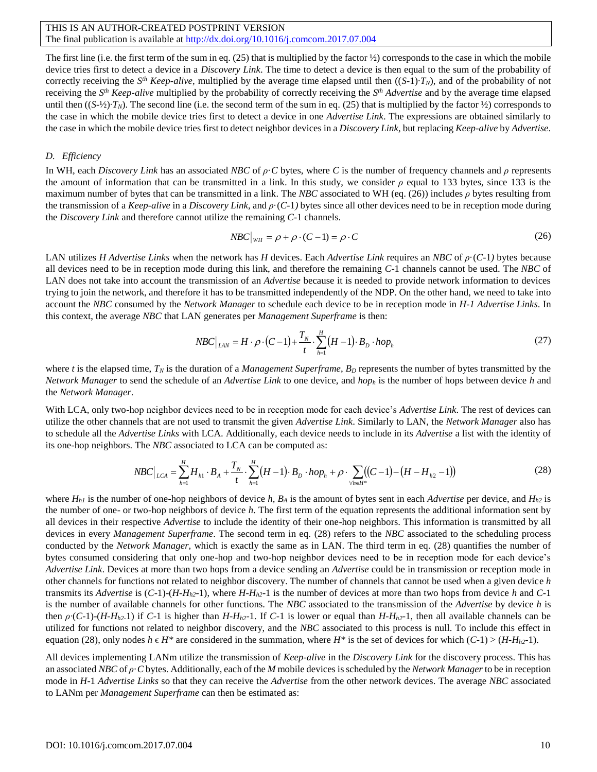The first line (i.e. the first term of the sum in eq.  $(25)$  that is multiplied by the factor  $\frac{1}{2}$ ) corresponds to the case in which the mobile device tries first to detect a device in a *Discovery Link*. The time to detect a device is then equal to the sum of the probability of correctly receiving the *S th Keep-alive*, multiplied by the average time elapsed until then ((*S*-1)∙*TN*), and of the probability of not receiving the *S th Keep-alive* multiplied by the probability of correctly receiving the *S th Advertise* and by the average time elapsed until then  $((S-½)T_N)$ . The second line (i.e. the second term of the sum in eq[. \(25\)](#page-8-2) that is multiplied by the factor ½) corresponds to the case in which the mobile device tries first to detect a device in one *Advertise Link*. The expressions are obtained similarly to the case in which the mobile device tries first to detect neighbor devices in a *Discovery Link*, but replacing *Keep-alive* by *Advertise*.

## *D. Efficiency*

In WH, each *Discovery Link* has an associated *NBC* of *ρ*·*C* bytes, where *C* is the number of frequency channels and *ρ* represents the amount of information that can be transmitted in a link. In this study, we consider  $\rho$  equal to 133 bytes, since 133 is the maximum number of bytes that can be transmitted in a link. The *NBC* associated to WH (eq. [\(26\)\)](#page-9-0) includes *ρ* bytes resulting from the transmission of a *Keep*-*alive* in a *Discovery Link*, and *ρ*·(*C*-1*)* bytes since all other devices need to be in reception mode during the *Discovery Link* and therefore cannot utilize the remaining *C*-1 channels.

<span id="page-9-0"></span>
$$
NBC|_{WH} = \rho + \rho \cdot (C - 1) = \rho \cdot C \tag{26}
$$

LAN utilizes *H Advertise Links* when the network has *H* devices. Each *Advertise Link* requires an *NBC* of *ρ*·(*C*-1*)* bytes because all devices need to be in reception mode during this link, and therefore the remaining *C*-1 channels cannot be used. The *NBC* of LAN does not take into account the transmission of an *Advertise* because it is needed to provide network information to devices trying to join the network, and therefore it has to be transmitted independently of the NDP. On the other hand, we need to take into account the *NBC* consumed by the *Network Manager* to schedule each device to be in reception mode in *H-1 Advertise Links*. In this context, the average *NBC* that LAN generates per *Management Superframe* is then:

<span id="page-9-1"></span>
$$
NBC|_{LAN} = H \cdot \rho \cdot (C-1) + \frac{T_N}{t} \cdot \sum_{h=1}^{H} (H-1) \cdot B_D \cdot hop_h
$$
\n
$$
(27)
$$

where *t* is the elapsed time, *T<sup>N</sup>* is the duration of a *Management Superframe*, *B<sup>D</sup>* represents the number of bytes transmitted by the *Network Manager* to send the schedule of an *Advertise Link* to one device, and *hop<sup>h</sup>* is the number of hops between device *h* and the *Network Manager*.

With LCA, only two-hop neighbor devices need to be in reception mode for each device's *Advertise Link*. The rest of devices can utilize the other channels that are not used to transmit the given *Advertise Link*. Similarly to LAN, the *Network Manager* also has to schedule all the *Advertise Links* with LCA. Additionally, each device needs to include in its *Advertise* a list with the identity of its one-hop neighbors. The *NBC* associated to LCA can be computed as:

$$
NBC|_{LCA} = \sum_{h=1}^{H} H_{h1} \cdot B_A + \frac{T_N}{t} \cdot \sum_{h=1}^{H} (H-1) \cdot B_D \cdot hop_h + \rho \cdot \sum_{\forall h \in H^*} ((C-1) - (H - H_{h2} - 1))
$$
(28)

where  $H_{h1}$  is the number of one-hop neighbors of device *h*,  $B_A$  is the amount of bytes sent in each *Advertise* per device, and  $H_{h2}$  is the number of one- or two-hop neighbors of device *h*. The first term of the equation represents the additional information sent by all devices in their respective *Advertise* to include the identity of their one-hop neighbors. This information is transmitted by all devices in every *Management Superframe*. The second term in eq. [\(28\)](#page-9-1) refers to the *NBC* associated to the scheduling process conducted by the *Network Manager*, which is exactly the same as in LAN. The third term in eq. [\(28\)](#page-9-1) quantifies the number of bytes consumed considering that only one-hop and two-hop neighbor devices need to be in reception mode for each device's *Advertise Link*. Devices at more than two hops from a device sending an *Advertise* could be in transmission or reception mode in other channels for functions not related to neighbor discovery. The number of channels that cannot be used when a given device *h* transmits its *Advertise* is (*C*-1)-(*H-Hh2*-1), where *H-Hh2*-1 is the number of devices at more than two hops from device *h* and *C*-1 is the number of available channels for other functions. The *NBC* associated to the transmission of the *Advertise* by device *h* is then  $\rho$ ⋅(*C*-1)⋅(*H-H<sub>h2</sub>*-1) if *C*-1 is higher than *H-H<sub>h2</sub>*-1. If *C*-1 is lower or equal than *H-H<sub>h2</sub>*-1, then all available channels can be utilized for functions not related to neighbor discovery, and the *NBC* associated to this process is null. To include this effect in equatio[n \(28\),](#page-9-1) only nodes  $h \in H^*$  are considered in the summation, where  $H^*$  is the set of devices for which  $(C-1) > (H-H_{h2}-1)$ .

All devices implementing LANm utilize the transmission of *Keep*-*alive* in the *Discovery Link* for the discovery process. This has an associated *NBC* of *ρ*·*C* bytes. Additionally, each of the *M* mobile devices isscheduled by the *Network Manager* to be in reception mode in *H*-1 *Advertise Links* so that they can receive the *Advertise* from the other network devices. The average *NBC* associated to LANm per *Management Superframe* can then be estimated as: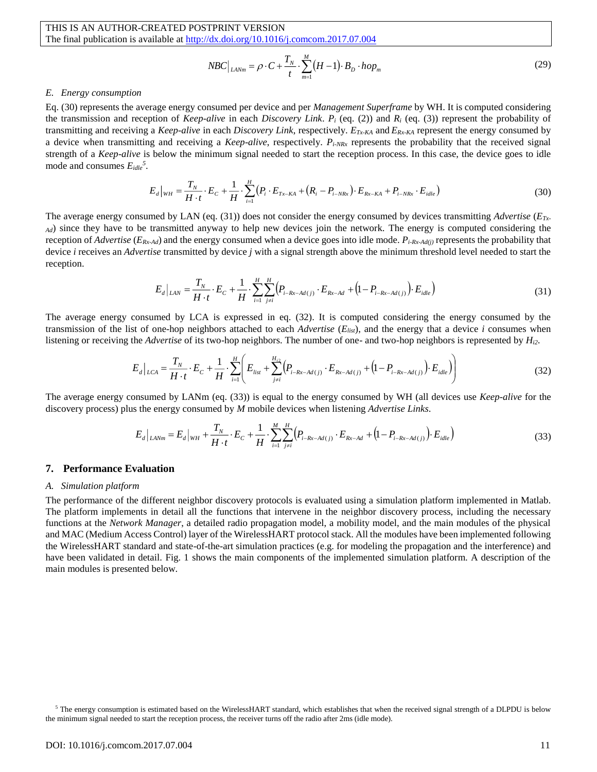<span id="page-10-5"></span><span id="page-10-1"></span>*M*  $L_{A N m} = \rho \cdot C + \frac{1}{t} \sum_{m=1}^{N} (H-1) \cdot B_D \cdot hop_m$  $\left. NBC \right|_{LANm} = \rho \cdot C + \frac{T_N}{t} \cdot \sum_{m=1}^{M} (H-1) \cdot B_D$ . (29)

#### *E. Energy consumption*

Eq. [\(30\)](#page-10-1) represents the average energy consumed per device and per *Management Superframe* by WH. It is computed considering the transmission and reception of *Keep*-*alive* in each *Discovery Link*. *P<sup>i</sup>* (eq. (2)) and *R<sup>i</sup>* (eq. [\(3\)\)](#page-6-1) represent the probability of transmitting and receiving a *Keep*-*alive* in each *Discovery Link*, respectively. *ETx-KA* and *ERx-KA* represent the energy consumed by a device when transmitting and receiving a *Keep*-*alive*, respectively. *Pi-NRx* represents the probability that the received signal strength of a *Keep*-*alive* is below the minimum signal needed to start the reception process. In this case, the device goes to idle mode and consumes *Eidle 5* .

$$
E_d|_{WH} = \frac{T_N}{H \cdot t} \cdot E_C + \frac{1}{H} \cdot \sum_{i=1}^{H} (P_i \cdot E_{Tx-KA} + (R_i - P_{i-NRx}) \cdot E_{Rx-KA} + P_{i-NRx} \cdot E_{idle})
$$
(30)

The average energy consumed by LAN (eq. [\(31\)\)](#page-10-2) does not consider the energy consumed by devices transmitting *Advertise* (*ETx-Ad*) since they have to be transmitted anyway to help new devices join the network. The energy is computed considering the reception of *Advertise* (*ERx-Ad*) and the energy consumed when a device goes into idle mode. *Pi-Rx-Ad(j)* represents the probability that device *i* receives an *Advertise* transmitted by device *j* with a signal strength above the minimum threshold level needed to start the reception.

<span id="page-10-3"></span><span id="page-10-2"></span>
$$
E_d|_{LAN} = \frac{T_N}{H \cdot t} \cdot E_C + \frac{1}{H} \cdot \sum_{i=1}^H \sum_{j \neq i}^H \left( P_{i-Rx - Ad(j)} \cdot E_{Rx - Ad} + \left( 1 - P_{i-Rx - Ad(j)} \right) \cdot E_{idle} \right) \tag{31}
$$

The average energy consumed by LCA is expressed in eq. [\(32\).](#page-10-3) It is computed considering the energy consumed by the transmission of the list of one-hop neighbors attached to each *Advertise* (*Elist*), and the energy that a device *i* consumes when listening or receiving the *Advertise* of its two-hop neighbors. The number of one- and two-hop neighbors is represented by *Hi2*.

$$
E_d|_{LCA} = \frac{T_N}{H \cdot t} \cdot E_C + \frac{1}{H} \cdot \sum_{i=1}^H \left( E_{list} + \sum_{j \neq i}^{H_{i2}} \left( P_{i-Rx - Ad(j)} \cdot E_{Rx - Ad(j)} + \left( 1 - P_{i-Rx - Ad(j)} \right) \cdot E_{idle} \right) \right)
$$
(32)

The average energy consumed by LANm (eq. [\(33\)\)](#page-10-4) is equal to the energy consumed by WH (all devices use *Keep*-*alive* for the discovery process) plus the energy consumed by *M* mobile devices when listening *Advertise Links*.

<span id="page-10-4"></span>
$$
E_d|_{LANm} = E_d|_{WH} + \frac{T_N}{H \cdot t} \cdot E_c + \frac{1}{H} \cdot \sum_{i=1}^M \sum_{j \neq i}^H (P_{i-Rx - Ad(j)} \cdot E_{Rx - Ad} + (1 - P_{i-Rx - Ad(j)}) \cdot E_{idle})
$$
(33)

#### <span id="page-10-0"></span>**7. Performance Evaluation**

#### *A. Simulation platform*

 $E = \sum_{i=1}^{n} (B - \frac{1}{n}) \sum_{i=1}^{n} (B - 1) \sum_{i=1}^{n} (B - 1) \sum_{i=1}^{n} (B - 1) \sum_{i=1}^{n} (B - 1) \sum_{i=1}^{n} (B - 1) \sum_{i=1}^{n} (B - 1) \sum_{i=1}^{n} (B - 1) \sum_{i=1}^{n} (B - 1) \sum_{i=1}^{n} (B - 1) \sum_{i=1}^{n} (B - 1) \sum_{i=1}^{n} (B - 1) \sum_{i=1}^{n} (B - 1) \sum_{i=1$ The performance of the different neighbor discovery protocols is evaluated using a simulation platform implemented in Matlab. The platform implements in detail all the functions that intervene in the neighbor discovery process, including the necessary functions at the *Network Manager*, a detailed radio propagation model, a mobility model, and the main modules of the physical and MAC (Medium Access Control) layer of the WirelessHART protocol stack. All the modules have been implemented following the WirelessHART standard and state-of-the-art simulation practices (e.g. for modeling the propagation and the interference) and have been validated in detail. [Fig. 1](#page-11-0) shows the main components of the implemented simulation platform. A description of the main modules is presented below.

 $<sup>5</sup>$  The energy consumption is estimated based on the WirelessHART standard, which establishes that when the received signal strength of a DLPDU is below</sup> the minimum signal needed to start the reception process, the receiver turns off the radio after 2ms (idle mode).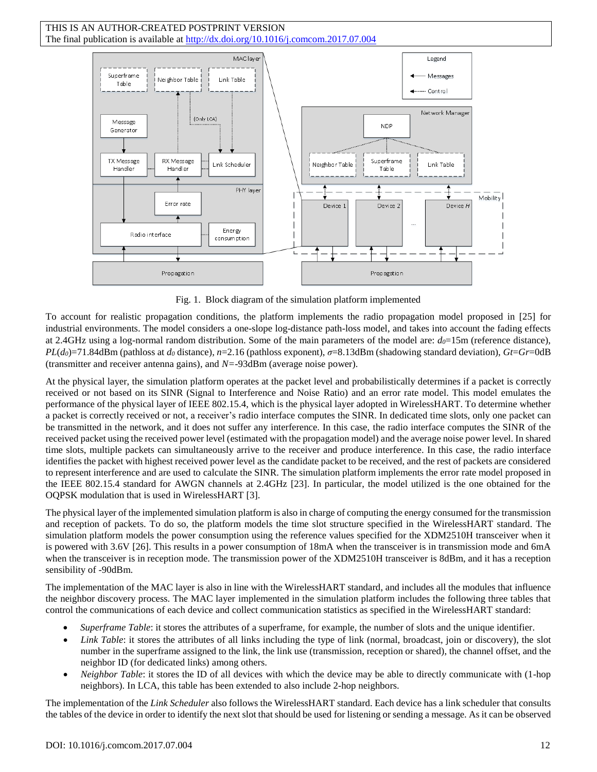

Fig. 1. Block diagram of the simulation platform implemented

<span id="page-11-0"></span>To account for realistic propagation conditions, the platform implements the radio propagation model proposed in [\[25\]](#page-18-22) for industrial environments. The model considers a one-slope log-distance path-loss model, and takes into account the fading effects at 2.4GHz using a log-normal random distribution. Some of the main parameters of the model are:  $d_0 = 15$ m (reference distance), *PL*(*d0*)=71.84dBm (pathloss at *d<sup>0</sup>* distance), *n*=2.16 (pathloss exponent), *σ*=8.13dBm (shadowing standard deviation), *Gt*=*Gr*=0dB (transmitter and receiver antenna gains), and *N=*-93dBm (average noise power).

At the physical layer, the simulation platform operates at the packet level and probabilistically determines if a packet is correctly received or not based on its SINR (Signal to Interference and Noise Ratio) and an error rate model. This model emulates the performance of the physical layer of IEEE 802.15.4, which is the physical layer adopted in WirelessHART. To determine whether a packet is correctly received or not, a receiver's radio interface computes the SINR. In dedicated time slots, only one packet can be transmitted in the network, and it does not suffer any interference. In this case, the radio interface computes the SINR of the received packet using the received power level (estimated with the propagation model) and the average noise power level. In shared time slots, multiple packets can simultaneously arrive to the receiver and produce interference. In this case, the radio interface identifies the packet with highest received power level as the candidate packet to be received, and the rest of packets are considered to represent interference and are used to calculate the SINR. The simulation platform implements the error rate model proposed in the IEEE 802.15.4 standard for AWGN channels at 2.4GHz [\[23\].](#page-18-21) In particular, the model utilized is the one obtained for the OQPSK modulation that is used in WirelessHART [\[3\].](#page-18-1)

The physical layer of the implemented simulation platform is also in charge of computing the energy consumed for the transmission and reception of packets. To do so, the platform models the time slot structure specified in the WirelessHART standard. The simulation platform models the power consumption using the reference values specified for the XDM2510H transceiver when it is powered with 3.6V [\[26\].](#page-19-0) This results in a power consumption of 18mA when the transceiver is in transmission mode and 6mA when the transceiver is in reception mode. The transmission power of the XDM2510H transceiver is 8dBm, and it has a reception sensibility of -90dBm.

The implementation of the MAC layer is also in line with the WirelessHART standard, and includes all the modules that influence the neighbor discovery process. The MAC layer implemented in the simulation platform includes the following three tables that control the communications of each device and collect communication statistics as specified in the WirelessHART standard:

- *Superframe Table*: it stores the attributes of a superframe, for example, the number of slots and the unique identifier.
- *Link Table*: it stores the attributes of all links including the type of link (normal, broadcast, join or discovery), the slot number in the superframe assigned to the link, the link use (transmission, reception or shared), the channel offset, and the neighbor ID (for dedicated links) among others.
- *Neighbor Table*: it stores the ID of all devices with which the device may be able to directly communicate with (1-hop neighbors). In LCA, this table has been extended to also include 2-hop neighbors.

The implementation of the *Link Scheduler* also follows the WirelessHART standard. Each device has a link scheduler that consults the tables of the device in order to identify the next slot that should be used for listening or sending a message. As it can be observed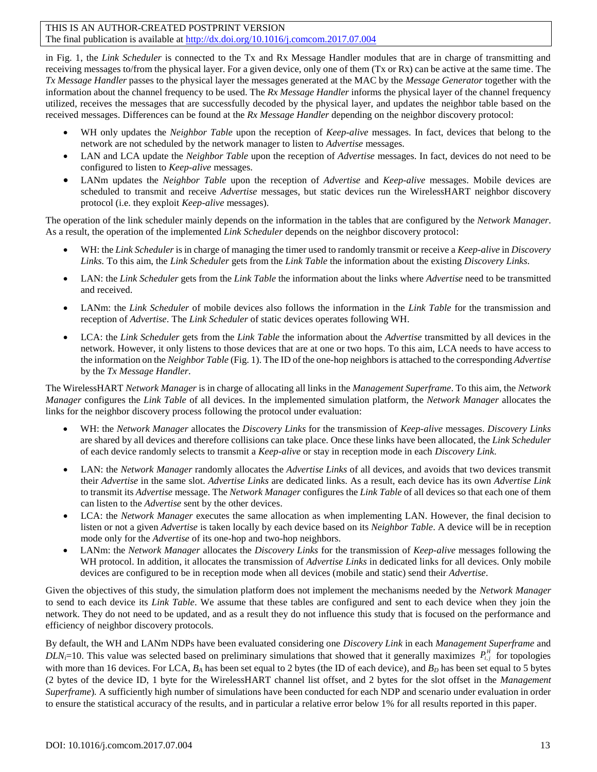in [Fig. 1,](#page-11-0) the *Link Scheduler* is connected to the Tx and Rx Message Handler modules that are in charge of transmitting and receiving messages to/from the physical layer. For a given device, only one of them (Tx or Rx) can be active at the same time. The *Tx Message Handler* passes to the physical layer the messages generated at the MAC by the *Message Generator* together with the information about the channel frequency to be used. The *Rx Message Handler* informs the physical layer of the channel frequency utilized, receives the messages that are successfully decoded by the physical layer, and updates the neighbor table based on the received messages. Differences can be found at the *Rx Message Handler* depending on the neighbor discovery protocol:

- WH only updates the *Neighbor Table* upon the reception of *Keep-alive* messages. In fact, devices that belong to the network are not scheduled by the network manager to listen to *Advertise* messages.
- LAN and LCA update the *Neighbor Table* upon the reception of *Advertise* messages. In fact, devices do not need to be configured to listen to *Keep-alive* messages.
- LANm updates the *Neighbor Table* upon the reception of *Advertise* and *Keep-alive* messages. Mobile devices are scheduled to transmit and receive *Advertise* messages, but static devices run the WirelessHART neighbor discovery protocol (i.e. they exploit *Keep-alive* messages).

The operation of the link scheduler mainly depends on the information in the tables that are configured by the *Network Manager*. As a result, the operation of the implemented *Link Scheduler* depends on the neighbor discovery protocol:

- WH: the *Link Scheduler* is in charge of managing the timer used to randomly transmit or receive a *Keep-alive* in *Discovery Links.* To this aim, the *Link Scheduler* gets from the *Link Table* the information about the existing *Discovery Links*.
- LAN: the *Link Scheduler* gets from the *Link Table* the information about the links where *Advertise* need to be transmitted and received.
- LANm: the *Link Scheduler* of mobile devices also follows the information in the *Link Table* for the transmission and reception of *Advertise*. The *Link Scheduler* of static devices operates following WH.
- LCA: the *Link Scheduler* gets from the *Link Table* the information about the *Advertise* transmitted by all devices in the network. However, it only listens to those devices that are at one or two hops. To this aim, LCA needs to have access to the information on the *Neighbor Table* [\(Fig. 1\)](#page-11-0). The ID of the one-hop neighbors is attached to the corresponding *Advertise* by the *Tx Message Handler*.

The WirelessHART *Network Manager* is in charge of allocating all links in the *Management Superframe*. To this aim, the *Network Manager* configures the *Link Table* of all devices. In the implemented simulation platform, the *Network Manager* allocates the links for the neighbor discovery process following the protocol under evaluation:

- WH: the *Network Manager* allocates the *Discovery Links* for the transmission of *Keep-alive* messages. *Discovery Links* are shared by all devices and therefore collisions can take place. Once these links have been allocated, the *Link Scheduler* of each device randomly selects to transmit a *Keep-alive* or stay in reception mode in each *Discovery Link*.
- LAN: the *Network Manager* randomly allocates the *Advertise Links* of all devices, and avoids that two devices transmit their *Advertise* in the same slot. *Advertise Links* are dedicated links. As a result, each device has its own *Advertise Link*  to transmit its *Advertise* message. The *Network Manager* configures the *Link Table* of all devices so that each one of them can listen to the *Advertise* sent by the other devices.
- LCA: the *Network Manager* executes the same allocation as when implementing LAN. However, the final decision to listen or not a given *Advertise* is taken locally by each device based on its *Neighbor Table*. A device will be in reception mode only for the *Advertise* of its one-hop and two-hop neighbors.
- LANm: the *Network Manager* allocates the *Discovery Links* for the transmission of *Keep-alive* messages following the WH protocol. In addition, it allocates the transmission of *Advertise Links* in dedicated links for all devices. Only mobile devices are configured to be in reception mode when all devices (mobile and static) send their *Advertise*.

Given the objectives of this study, the simulation platform does not implement the mechanisms needed by the *Network Manager* to send to each device its *Link Table*. We assume that these tables are configured and sent to each device when they join the network. They do not need to be updated, and as a result they do not influence this study that is focused on the performance and efficiency of neighbor discovery protocols.

By default, the WH and LANm NDPs have been evaluated considering one *Discovery Link* in each *Management Superframe* and  $DLN_i=10$ . This value was selected based on preliminary simulations that showed that it generally maximizes  $P_{i,j}^H$  for topologies with more than 16 devices. For LCA, *B<sup>A</sup>* has been set equal to 2 bytes (the ID of each device), and *B<sup>D</sup>* has been set equal to 5 bytes (2 bytes of the device ID, 1 byte for the WirelessHART channel list offset, and 2 bytes for the slot offset in the *Management Superframe*)*.* A sufficiently high number of simulations have been conducted for each NDP and scenario under evaluation in order to ensure the statistical accuracy of the results, and in particular a relative error below 1% for all results reported in this paper.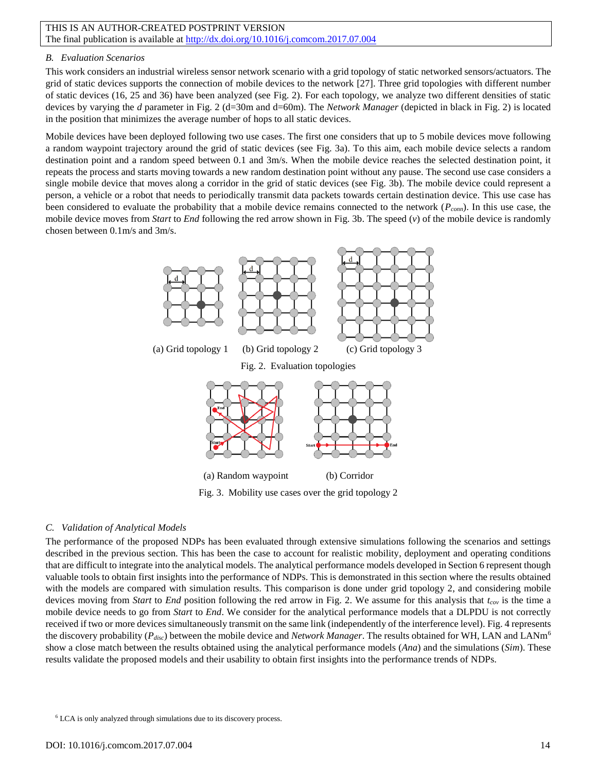## *B. Evaluation Scenarios*

This work considers an industrial wireless sensor network scenario with a grid topology of static networked sensors/actuators. The grid of static devices supports the connection of mobile devices to the network [\[27\].](#page-19-1) Three grid topologies with different number of static devices (16, 25 and 36) have been analyzed (see [Fig. 2\)](#page-13-0). For each topology, we analyze two different densities of static devices by varying the *d* parameter in [Fig. 2](#page-13-0) (d=30m and d=60m). The *Network Manager* (depicted in black in [Fig. 2\)](#page-13-0) is located in the position that minimizes the average number of hops to all static devices.

Mobile devices have been deployed following two use cases. The first one considers that up to 5 mobile devices move following a random waypoint trajectory around the grid of static devices (see [Fig. 3a](#page-13-1)). To this aim, each mobile device selects a random destination point and a random speed between 0.1 and 3m/s. When the mobile device reaches the selected destination point, it repeats the process and starts moving towards a new random destination point without any pause. The second use case considers a single mobile device that moves along a corridor in the grid of static devices (see [Fig. 3b](#page-13-1)). The mobile device could represent a person, a vehicle or a robot that needs to periodically transmit data packets towards certain destination device. This use case has been considered to evaluate the probability that a mobile device remains connected to the network (*Pconn*). In this use case, the mobile device moves from *Start* to *End* following the red arrow shown in [Fig. 3b](#page-13-1). The speed (*v*) of the mobile device is randomly chosen between 0.1m/s and 3m/s.

<span id="page-13-0"></span>

Fig. 3. Mobility use cases over the grid topology 2

## <span id="page-13-1"></span>*C. Validation of Analytical Models*

The performance of the proposed NDPs has been evaluated through extensive simulations following the scenarios and settings described in the previous section. This has been the case to account for realistic mobility, deployment and operating conditions that are difficult to integrate into the analytical models. The analytical performance models developed in Section [6](#page-4-1) represent though valuable tools to obtain first insights into the performance of NDPs. This is demonstrated in this section where the results obtained with the models are compared with simulation results. This comparison is done under grid topology 2, and considering mobile devices moving from *Start* to *End* position following the red arrow in [Fig. 2.](#page-13-0) We assume for this analysis that *tcov* is the time a mobile device needs to go from *Start* to *End*. We consider for the analytical performance models that a DLPDU is not correctly received if two or more devices simultaneously transmit on the same link (independently of the interference level). [Fig. 4](#page-14-0) represents the discovery probability (*Pdisc*) between the mobile device and *Network Manager*. The results obtained for WH, LAN and LANm<sup>6</sup> show a close match between the results obtained using the analytical performance models (*Ana*) and the simulations (*Sim*). These results validate the proposed models and their usability to obtain first insights into the performance trends of NDPs.

<sup>6</sup> LCA is only analyzed through simulations due to its discovery process.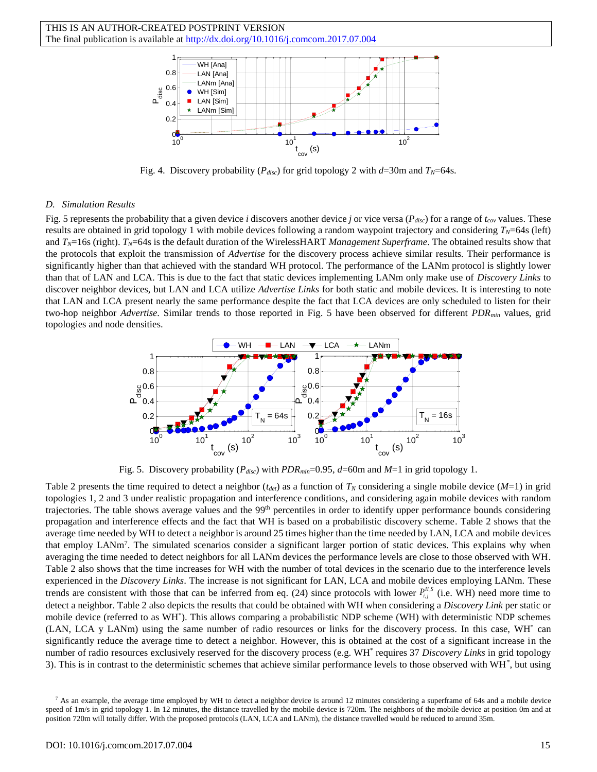

Fig. 4. Discovery probability ( $P_{disc}$ ) for grid topology 2 with  $d=30$ m and  $T_N=64$ s.

#### <span id="page-14-0"></span>*D. Simulation Results*

[Fig. 5](#page-14-1) represents the probability that a given device *i* discovers another device *j* or vice versa (*Pdisc*) for a range of *tcov* values. These results are obtained in grid topology 1 with mobile devices following a random waypoint trajectory and considering  $T_N=64$ s (left) and *TN*=16s (right). *TN*=64s is the default duration of the WirelessHART *Management Superframe*. The obtained results show that the protocols that exploit the transmission of *Advertise* for the discovery process achieve similar results. Their performance is significantly higher than that achieved with the standard WH protocol. The performance of the LANm protocol is slightly lower than that of LAN and LCA. This is due to the fact that static devices implementing LANm only make use of *Discovery Links* to discover neighbor devices, but LAN and LCA utilize *Advertise Links* for both static and mobile devices. It is interesting to note that LAN and LCA present nearly the same performance despite the fact that LCA devices are only scheduled to listen for their two-hop neighbor *Advertise*. Similar trends to those reported in [Fig. 5](#page-14-1) have been observed for different *PDRmin* values, grid topologies and node densities.



Fig. 5. Discovery probability (*Pdisc*) with *PDRmin*=0.95, *d*=60m and *M*=1 in grid topology 1.

<span id="page-14-1"></span>[Table 2](#page-15-0) presents the time required to detect a neighbor ( $t_{det}$ ) as a function of  $T_N$  considering a single mobile device ( $M=1$ ) in grid topologies 1, 2 and 3 under realistic propagation and interference conditions, and considering again mobile devices with random trajectories. The table shows average values and the 99<sup>th</sup> percentiles in order to identify upper performance bounds considering propagation and interference effects and the fact that WH is based on a probabilistic discovery scheme. [Table 2](#page-15-0) shows that the average time needed by WH to detect a neighbor is around 25 times higher than the time needed by LAN, LCA and mobile devices that employ LANm<sup>7</sup>. The simulated scenarios consider a significant larger portion of static devices. This explains why when averaging the time needed to detect neighbors for all LANm devices the performance levels are close to those observed with WH. [Table 2](#page-15-0) also shows that the time increases for WH with the number of total devices in the scenario due to the interference levels experienced in the *Discovery Links*. The increase is not significant for LAN, LCA and mobile devices employing LANm. These trends are consistent with those that can be inferred from eq. [\(24\)](#page-8-1) since protocols with lower  $P_{i,j}^{H,s}$  (i.e. WH) need more time to detect a neighbor. [Table 2](#page-15-0) also depicts the results that could be obtained with WH when considering a *Discovery Link* per static or mobile device (referred to as WH<sup>\*</sup>). This allows comparing a probabilistic NDP scheme (WH) with deterministic NDP schemes (LAN, LCA y LANm) using the same number of radio resources or links for the discovery process. In this case, WH\* can significantly reduce the average time to detect a neighbor. However, this is obtained at the cost of a significant increase in the number of radio resources exclusively reserved for the discovery process (e.g. WH\* requires 37 *Discovery Links* in grid topology 3). This is in contrast to the deterministic schemes that achieve similar performance levels to those observed with WH\* , but using

 $^7$  As an example, the average time employed by WH to detect a neighbor device is around 12 minutes considering a superframe of 64s and a mobile device speed of 1m/s in grid topology 1. In 12 minutes, the distance travelled by the mobile device is 720m. The neighbors of the mobile device at position 0m and at position 720m will totally differ. With the proposed protocols (LAN, LCA and LANm), the distance travelled would be reduced to around 35m.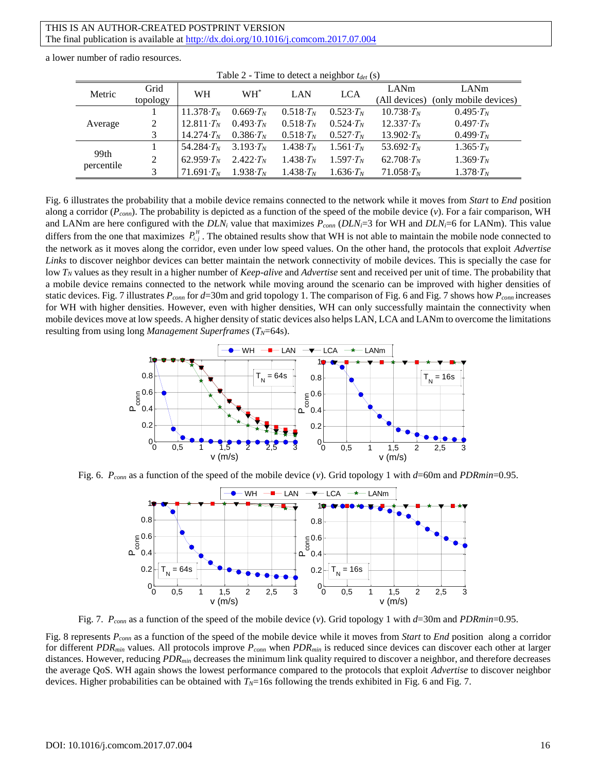|            |                |                    |                   | Table 2 - Time to detect a neighbor $t_{det}(s)$ |                   |                    |                       |
|------------|----------------|--------------------|-------------------|--------------------------------------------------|-------------------|--------------------|-----------------------|
| Metric     | Grid           | <b>WH</b>          | $WH^*$            | LAN                                              | <b>LCA</b>        | LANm               | LANm                  |
|            | topology       |                    |                   |                                                  |                   | (All devices)      | (only mobile devices) |
|            |                | $11.378 \cdot T_N$ | $0.669 \cdot T_N$ | $0.518 \cdot T_N$                                | $0.523 \cdot T_N$ | $10.738 \cdot T_N$ | $0.495 \, T_N$        |
| Average    | 2              | $12.811 \cdot T_N$ | $0.493 \cdot T_N$ | $0.518 \cdot T_N$                                | $0.524 \cdot T_N$ | $12.337 \cdot T_N$ | $0.497 \cdot T_N$     |
|            |                | $14.274 \cdot T_N$ | $0.386 \cdot T_N$ | $0.518 \cdot T_N$                                | $0.527 \cdot T_N$ | $13.902 \cdot T_N$ | 0.499 $\cdot T_N$     |
|            |                | 54.284 $\cdot T_N$ | $3.193 \cdot T_N$ | $1.438 \cdot T_N$                                | $1.561 \, T_N$    | 53.692 $\cdot T_N$ | $1.365 \cdot T_N$     |
| 99th       | $\mathfrak{D}$ | $62.959 \cdot T_N$ | $2.422 \cdot T_N$ | $1.438 \cdot T_N$                                | $1.597 \, T_N$    | 62.708 $\cdot T_N$ | $1.369 \cdot T_N$     |
| percentile |                | 71.691 $T_N$       | $1.938 \, T_N$    | $1.438 \cdot T_N$                                | $1.636 \cdot T_N$ | 71.058 $\cdot T_N$ | $1.378 \cdot T_N$     |

<span id="page-15-0"></span>a lower number of radio resources.

[Fig. 6](#page-15-1) illustrates the probability that a mobile device remains connected to the network while it moves from *Start* to *End* position along a corridor (*Pconn*). The probability is depicted as a function of the speed of the mobile device (*v*). For a fair comparison, WH and LANm are here configured with the *DLN<sup>i</sup>* value that maximizes *Pconn* (*DLNi*=3 for WH and *DLNi*=6 for LANm). This value differs from the one that maximizes  $P_{i,j}^H$ . The obtained results show that WH is not able to maintain the mobile node connected to the network as it moves along the corridor, even under low speed values. On the other hand, the protocols that exploit *Advertise Links* to discover neighbor devices can better maintain the network connectivity of mobile devices. This is specially the case for low *T<sup>N</sup>* values as they result in a higher number of *Keep-alive* and *Advertise* sent and received per unit of time. The probability that a mobile device remains connected to the network while moving around the scenario can be improved with higher densities of static devices[. Fig. 7](#page-15-2) illustrates *Pconn* for *d*=30m and grid topology 1. The comparison o[f Fig. 6](#page-15-1) and [Fig. 7](#page-15-2) shows how *Pconn* increases for WH with higher densities. However, even with higher densities, WH can only successfully maintain the connectivity when mobile devices move at low speeds. A higher density of static devices also helps LAN, LCA and LANm to overcome the limitations resulting from using long *Management Superframes* ( $T_N$ =64s).



<span id="page-15-1"></span>Fig. 6. *Pconn* as a function of the speed of the mobile device (*v*). Grid topology 1 with *d*=60m and *PDRmin*=0.95.



Fig. 7. *Pconn* as a function of the speed of the mobile device (*v*). Grid topology 1 with *d*=30m and *PDRmin*=0.95.

<span id="page-15-2"></span>[Fig. 8](#page-16-0) represents *Pconn* as a function of the speed of the mobile device while it moves from *Start* to *End* position along a corridor for different *PDRmin* values. All protocols improve *Pconn* when *PDRmin* is reduced since devices can discover each other at larger distances. However, reducing *PDRmin* decreases the minimum link quality required to discover a neighbor, and therefore decreases the average QoS. WH again shows the lowest performance compared to the protocols that exploit *Advertise* to discover neighbor devices. Higher probabilities can be obtained with  $T<sub>N</sub>=16s$  following the trends exhibited in [Fig. 6](#page-15-1) and [Fig. 7.](#page-15-2)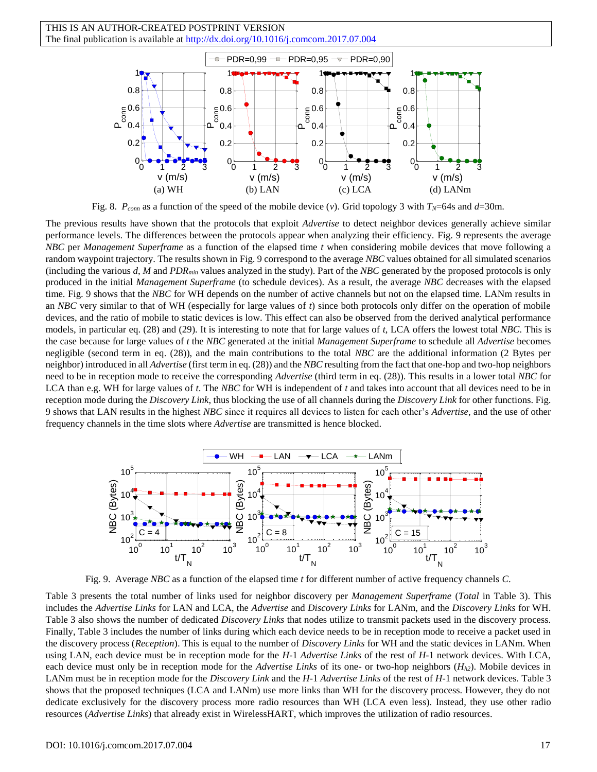

Fig. 8.  $P_{conn}$  as a function of the speed of the mobile device (*v*). Grid topology 3 with  $T_N$ =64s and *d*=30m.

<span id="page-16-0"></span>The previous results have shown that the protocols that exploit *Advertise* to detect neighbor devices generally achieve similar performance levels. The differences between the protocols appear when analyzing their efficiency. [Fig. 9](#page-16-1) represents the average *NBC* per *Management Superframe* as a function of the elapsed time *t* when considering mobile devices that move following a random waypoint trajectory. The results shown in [Fig. 9](#page-16-1) correspond to the average *NBC* values obtained for all simulated scenarios (including the various *d*, *M* and *PDRmin* values analyzed in the study). Part of the *NBC* generated by the proposed protocols is only produced in the initial *Management Superframe* (to schedule devices). As a result, the average *NBC* decreases with the elapsed time. [Fig. 9](#page-16-1) shows that the *NBC* for WH depends on the number of active channels but not on the elapsed time. LANm results in an *NBC* very similar to that of WH (especially for large values of *t*) since both protocols only differ on the operation of mobile devices, and the ratio of mobile to static devices is low. This effect can also be observed from the derived analytical performance models, in particular eq. [\(28\)](#page-9-1) and [\(29\).](#page-10-5) It is interesting to note that for large values of *t*, LCA offers the lowest total *NBC*. This is the case because for large values of *t* the *NBC* generated at the initial *Management Superframe* to schedule all *Advertise* becomes negligible (second term in eq. [\(28\)\)](#page-9-1), and the main contributions to the total *NBC* are the additional information (2 Bytes per neighbor) introduced in all *Advertise* (first term in eq[. \(28\)\)](#page-9-1) and the *NBC* resulting from the fact that one-hop and two-hop neighbors need to be in reception mode to receive the corresponding *Advertise* (third term in eq. [\(28\)\)](#page-9-1). This results in a lower total *NBC* for LCA than e.g. WH for large values of *t*. The *NBC* for WH is independent of *t* and takes into account that all devices need to be in reception mode during the *Discovery Link*, thus blocking the use of all channels during the *Discovery Link* for other functions[. Fig.](#page-16-1)  [9](#page-16-1) shows that LAN results in the highest *NBC* since it requires all devices to listen for each other's *Advertise*, and the use of other frequency channels in the time slots where *Advertise* are transmitted is hence blocked.



Fig. 9. Average *NBC* as a function of the elapsed time *t* for different number of active frequency channels *C*.

<span id="page-16-1"></span>[Table 3](#page-17-1) presents the total number of links used for neighbor discovery per *Management Superframe* (*Total* in [Table 3\)](#page-17-1). This includes the *Advertise Links* for LAN and LCA, the *Advertise* and *Discovery Links* for LANm, and the *Discovery Links* for WH. [Table 3](#page-17-1) also shows the number of dedicated *Discovery Links* that nodes utilize to transmit packets used in the discovery process. Finally, [Table 3](#page-17-1) includes the number of links during which each device needs to be in reception mode to receive a packet used in the discovery process (*Reception*). This is equal to the number of *Discovery Links* for WH and the static devices in LANm. When using LAN, each device must be in reception mode for the *H*-1 *Advertise Links* of the rest of *H*-1 network devices. With LCA, each device must only be in reception mode for the *Advertise Links* of its one- or two-hop neighbors (*Hh2*). Mobile devices in LANm must be in reception mode for the *Discovery Link* and the *H*-1 *Advertise Links* of the rest of *H*-1 network devices. [Table 3](#page-17-1) shows that the proposed techniques (LCA and LANm) use more links than WH for the discovery process. However, they do not dedicate exclusively for the discovery process more radio resources than WH (LCA even less). Instead, they use other radio resources (*Advertise Links*) that already exist in WirelessHART, which improves the utilization of radio resources.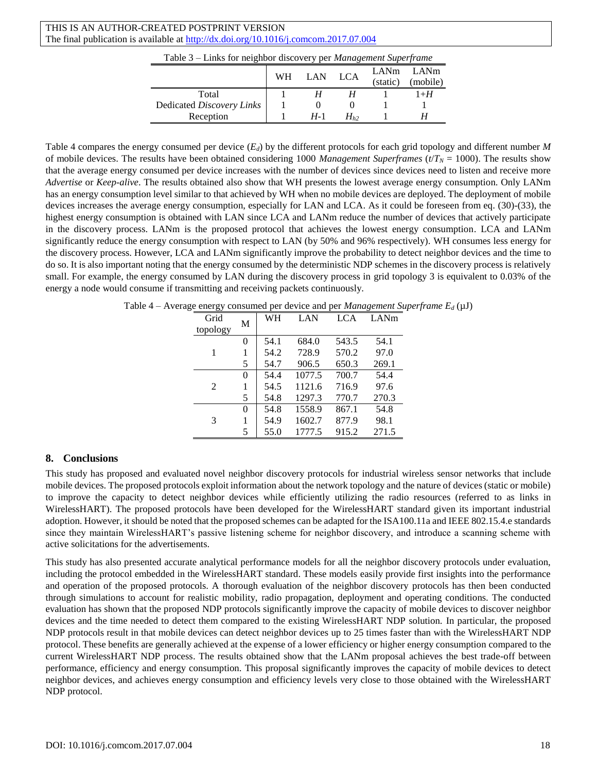| Table 3 – Links for neighbor discovery per Management Superframe |    |       |            |                  |          |  |  |
|------------------------------------------------------------------|----|-------|------------|------------------|----------|--|--|
|                                                                  | WH | LAN   | <b>LCA</b> | LAN <sub>m</sub> | LANm     |  |  |
|                                                                  |    |       |            | (static)         | (mobile) |  |  |
| Total                                                            |    |       |            |                  | $1+H$    |  |  |
| Dedicated Discovery Links                                        |    |       |            |                  |          |  |  |
| Reception                                                        |    | $H-1$ | $H_{h2}$   |                  |          |  |  |

<span id="page-17-1"></span>[Table 4](#page-17-2) compares the energy consumed per device (*Ed*) by the different protocols for each grid topology and different number *M* of mobile devices. The results have been obtained considering 1000 *Management Superframes* ( $t/T_N = 1000$ ). The results show that the average energy consumed per device increases with the number of devices since devices need to listen and receive more *Advertise* or *Keep-alive*. The results obtained also show that WH presents the lowest average energy consumption. Only LANm has an energy consumption level similar to that achieved by WH when no mobile devices are deployed. The deployment of mobile devices increases the average energy consumption, especially for LAN and LCA. As it could be foreseen from eq. [\(30\)-](#page-10-1)[\(33\),](#page-10-4) the highest energy consumption is obtained with LAN since LCA and LANm reduce the number of devices that actively participate in the discovery process. LANm is the proposed protocol that achieves the lowest energy consumption. LCA and LANm significantly reduce the energy consumption with respect to LAN (by 50% and 96% respectively). WH consumes less energy for the discovery process. However, LCA and LANm significantly improve the probability to detect neighbor devices and the time to do so. It is also important noting that the energy consumed by the deterministic NDP schemes in the discovery process is relatively small. For example, the energy consumed by LAN during the discovery process in grid topology 3 is equivalent to 0.03% of the energy a node would consume if transmitting and receiving packets continuously.

| Grid <sub>M</sub> WH LAN LCA LANm<br>topology M VH LAN LCA LANm |  |                                                                                                                                            |  |
|-----------------------------------------------------------------|--|--------------------------------------------------------------------------------------------------------------------------------------------|--|
|                                                                 |  | $\begin{array}{c cccc} 0 & 54.1 & 684.0 & 543.5 & 54.1 \\ 1 & 54.2 & 728.9 & 570.2 & 97.0 \\ 5 & 54.7 & 906.5 & 650.3 & 269.1 \end{array}$ |  |
|                                                                 |  |                                                                                                                                            |  |
|                                                                 |  |                                                                                                                                            |  |

3 1 54.9 1602.7 877.9 98.1

0 54.4 1077.5 700.7 54.4 2 1 54.5 1121.6 716.9 97.6

> 5 54.8 1297.3 770.7 270.3 0 54.8 1558.9 867.1 54.8

> 5 55.0 1777.5 915.2 271.5

<span id="page-17-2"></span>Table 4 – Average energy consumed per device and per *Management Superframe E<sup>d</sup>* (µJ)

# <span id="page-17-0"></span>**8. Conclusions**

This study has proposed and evaluated novel neighbor discovery protocols for industrial wireless sensor networks that include mobile devices. The proposed protocols exploit information about the network topology and the nature of devices (static or mobile) to improve the capacity to detect neighbor devices while efficiently utilizing the radio resources (referred to as links in WirelessHART). The proposed protocols have been developed for the WirelessHART standard given its important industrial adoption. However, it should be noted that the proposed schemes can be adapted for the ISA100.11a and IEEE 802.15.4.e standards since they maintain WirelessHART's passive listening scheme for neighbor discovery, and introduce a scanning scheme with active solicitations for the advertisements.

This study has also presented accurate analytical performance models for all the neighbor discovery protocols under evaluation, including the protocol embedded in the WirelessHART standard. These models easily provide first insights into the performance and operation of the proposed protocols. A thorough evaluation of the neighbor discovery protocols has then been conducted through simulations to account for realistic mobility, radio propagation, deployment and operating conditions. The conducted evaluation has shown that the proposed NDP protocols significantly improve the capacity of mobile devices to discover neighbor devices and the time needed to detect them compared to the existing WirelessHART NDP solution. In particular, the proposed NDP protocols result in that mobile devices can detect neighbor devices up to 25 times faster than with the WirelessHART NDP protocol. These benefits are generally achieved at the expense of a lower efficiency or higher energy consumption compared to the current WirelessHART NDP process. The results obtained show that the LANm proposal achieves the best trade-off between performance, efficiency and energy consumption. This proposal significantly improves the capacity of mobile devices to detect neighbor devices, and achieves energy consumption and efficiency levels very close to those obtained with the WirelessHART NDP protocol.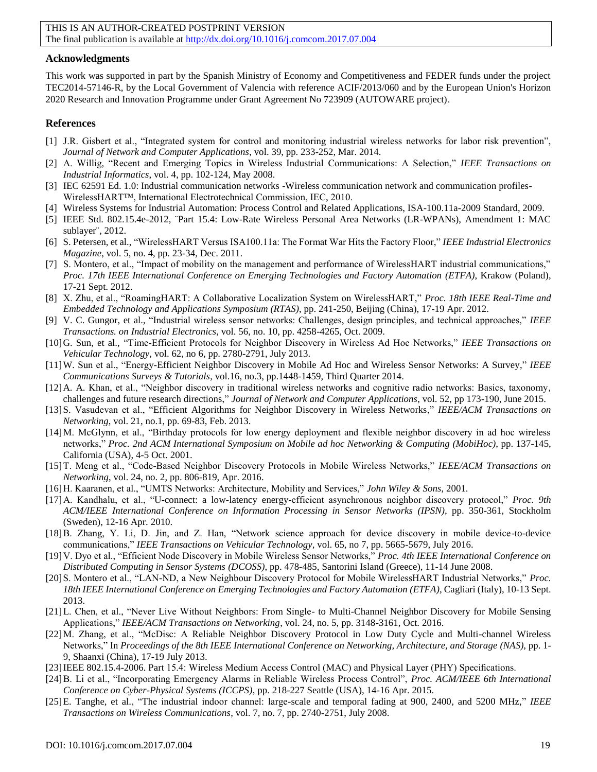## **Acknowledgments**

This work was supported in part by the Spanish Ministry of Economy and Competitiveness and FEDER funds under the project TEC2014-57146-R, by the Local Government of Valencia with reference ACIF/2013/060 and by the European Union's Horizon 2020 Research and Innovation Programme under Grant Agreement No 723909 (AUTOWARE project).

## **References**

- <span id="page-18-0"></span>[1] J.R. Gisbert et al., "Integrated system for control and monitoring industrial wireless networks for labor risk prevention", *Journal of Network and Computer Applications*, vol. 39, pp. 233-252, Mar. 2014.
- [2] A. Willig, "Recent and Emerging Topics in Wireless Industrial Communications: A Selection," *IEEE Transactions on Industrial Informatics*, vol. 4, pp. 102-124, May 2008.
- <span id="page-18-1"></span>[3] IEC 62591 Ed. 1.0: Industrial communication networks -Wireless communication network and communication profiles-WirelessHART™, International Electrotechnical Commission, IEC, 2010.
- <span id="page-18-2"></span>[4] Wireless Systems for Industrial Automation: Process Control and Related Applications, ISA-100.11a-2009 Standard, 2009.
- <span id="page-18-3"></span>[5] IEEE Std. 802.15.4e-2012, ¨Part 15.4: Low-Rate Wireless Personal Area Networks (LR-WPANs), Amendment 1: MAC sublayer¨, 2012.
- <span id="page-18-4"></span>[6] S. Petersen, et al., "WirelessHART Versus ISA100.11a: The Format War Hits the Factory Floor," *IEEE Industrial Electronics Magazine*, vol. 5, no. 4, pp. 23-34, Dec. 2011.
- <span id="page-18-5"></span>[7] S. Montero, et al., "Impact of mobility on the management and performance of WirelessHART industrial communications," *Proc. 17th IEEE International Conference on Emerging Technologies and Factory Automation (ETFA)*, Krakow (Poland), 17-21 Sept. 2012.
- <span id="page-18-6"></span>[8] X. Zhu, et al., "RoamingHART: A Collaborative Localization System on WirelessHART," *Proc. 18th IEEE Real-Time and Embedded Technology and Applications Symposium (RTAS)*, pp. 241-250, Beijing (China), 17-19 Apr. 2012.
- <span id="page-18-7"></span>[9] V. C. Gungor, et al., "Industrial wireless sensor networks: Challenges, design principles, and technical approaches," *IEEE Transactions. on Industrial Electronics*, vol. 56, no. 10, pp. 4258-4265, Oct. 2009.
- <span id="page-18-8"></span>[10]G. Sun, et al., "Time-Efficient Protocols for Neighbor Discovery in Wireless Ad Hoc Networks," *IEEE Transactions on Vehicular Technology,* vol. 62, no 6, pp. 2780-2791, July 2013.
- <span id="page-18-9"></span>[11]W. Sun et al., "Energy-Efficient Neighbor Discovery in Mobile Ad Hoc and Wireless Sensor Networks: A Survey," *IEEE Communications Surveys & Tutorials*, vol.16, no.3, pp.1448-1459, Third Quarter 2014.
- <span id="page-18-10"></span>[12]A. A. Khan, et al., "Neighbor discovery in traditional wireless networks and cognitive radio networks: Basics, taxonomy, challenges and future research directions," *Journal of Network and Computer Applications*, vol. 52, pp 173-190, June 2015.
- <span id="page-18-11"></span>[13]S. Vasudevan et al., "Efficient Algorithms for Neighbor Discovery in Wireless Networks," *IEEE/ACM Transactions on Networking*, vol. 21, no.1, pp. 69-83, Feb. 2013.
- <span id="page-18-12"></span>[14]M. McGlynn, et al., "Birthday protocols for low energy deployment and flexible neighbor discovery in ad hoc wireless networks," *Proc. 2nd ACM International Symposium on Mobile ad hoc Networking & Computing (MobiHoc)*, pp. 137-145, California (USA), 4-5 Oct. 2001.
- <span id="page-18-13"></span>[15]T. Meng et al., "Code-Based Neighbor Discovery Protocols in Mobile Wireless Networks," *IEEE/ACM Transactions on Networking*, vol. 24, no. 2, pp. 806-819, Apr. 2016.
- <span id="page-18-14"></span>[16]H. Kaaranen, et al., "UMTS Networks: Architecture, Mobility and Services," *John Wiley & Sons*, 2001.
- <span id="page-18-15"></span>[17]A. Kandhalu, et al., "U-connect: a low-latency energy-efficient asynchronous neighbor discovery protocol," *Proc. 9th ACM/IEEE International Conference on Information Processing in Sensor Networks (IPSN)*, pp. 350-361, Stockholm (Sweden), 12-16 Apr. 2010.
- <span id="page-18-16"></span>[18]B. Zhang, Y. Li, D. Jin, and Z. Han, "Network science approach for device discovery in mobile device-to-device communications," *IEEE Transactions on Vehicular Technology,* vol. 65, no 7, pp. 5665-5679, July 2016.
- <span id="page-18-17"></span>[19]V. Dyo et al., "Efficient Node Discovery in Mobile Wireless Sensor Networks," *Proc. 4th IEEE International Conference on Distributed Computing in Sensor Systems (DCOSS)*, pp. 478-485, Santorini Island (Greece), 11-14 June 2008.
- <span id="page-18-18"></span>[20]S. Montero et al., "LAN-ND, a New Neighbour Discovery Protocol for Mobile WirelessHART Industrial Networks," *Proc. 18th IEEE International Conference on Emerging Technologies and Factory Automation (ETFA)*, Cagliari (Italy), 10-13 Sept. 2013.
- <span id="page-18-19"></span>[21]L. Chen, et al., "Never Live Without Neighbors: From Single- to Multi-Channel Neighbor Discovery for Mobile Sensing Applications," *IEEE/ACM Transactions on Networking*, vol. 24, no. 5, pp. 3148-3161, Oct. 2016.
- <span id="page-18-20"></span>[22]M. Zhang, et al., "McDisc: A Reliable Neighbor Discovery Protocol in Low Duty Cycle and Multi-channel Wireless Networks," In *Proceedings of the 8th IEEE International Conference on Networking, Architecture, and Storage (NAS)*, pp. 1- 9, Shaanxi (China), 17-19 July 2013.
- <span id="page-18-21"></span>[23]IEEE 802.15.4-2006. Part 15.4: Wireless Medium Access Control (MAC) and Physical Layer (PHY) Specifications.
- [24]B. Li et al., "Incorporating Emergency Alarms in Reliable Wireless Process Control", *Proc. ACM/IEEE 6th International Conference on Cyber-Physical Systems (ICCPS)*, pp. 218-227 Seattle (USA), 14-16 Apr. 2015.
- <span id="page-18-22"></span>[25]E. Tanghe, et al., "The industrial indoor channel: large-scale and temporal fading at 900, 2400, and 5200 MHz," *IEEE Transactions on Wireless Communications*, vol. 7, no. 7, pp. 2740-2751, July 2008.